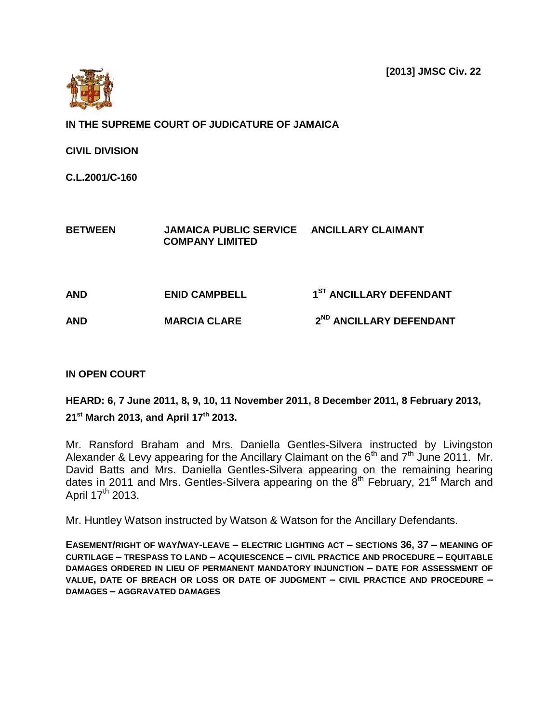**[2013] JMSC Civ. 22**



**IN THE SUPREME COURT OF JUDICATURE OF JAMAICA**

**CIVIL DIVISION**

**C.L.2001/C-160**

**BETWEEN JAMAICA PUBLIC SERVICE ANCILLARY CLAIMANT COMPANY LIMITED**

**AND ENID CAMPBELL 1 ST ANCILLARY DEFENDANT AND MARCIA CLARE 2 ND ANCILLARY DEFENDANT** 

## **IN OPEN COURT**

**HEARD: 6, 7 June 2011, 8, 9, 10, 11 November 2011, 8 December 2011, 8 February 2013, 21 st March 2013, and April 17th 2013.**

Mr. Ransford Braham and Mrs. Daniella Gentles-Silvera instructed by Livingston Alexander & Levy appearing for the Ancillary Claimant on the  $6<sup>th</sup>$  and  $7<sup>th</sup>$  June 2011. Mr. David Batts and Mrs. Daniella Gentles-Silvera appearing on the remaining hearing dates in 2011 and Mrs. Gentles-Silvera appearing on the  $8<sup>th</sup>$  February, 21<sup>st</sup> March and April 17<sup>th</sup> 2013.

Mr. Huntley Watson instructed by Watson & Watson for the Ancillary Defendants.

**EASEMENT/RIGHT OF WAY/WAY-LEAVE – ELECTRIC LIGHTING ACT – SECTIONS 36, 37 – MEANING OF CURTILAGE – TRESPASS TO LAND – ACQUIESCENCE – CIVIL PRACTICE AND PROCEDURE – EQUITABLE DAMAGES ORDERED IN LIEU OF PERMANENT MANDATORY INJUNCTION – DATE FOR ASSESSMENT OF VALUE, DATE OF BREACH OR LOSS OR DATE OF JUDGMENT – CIVIL PRACTICE AND PROCEDURE – DAMAGES – AGGRAVATED DAMAGES**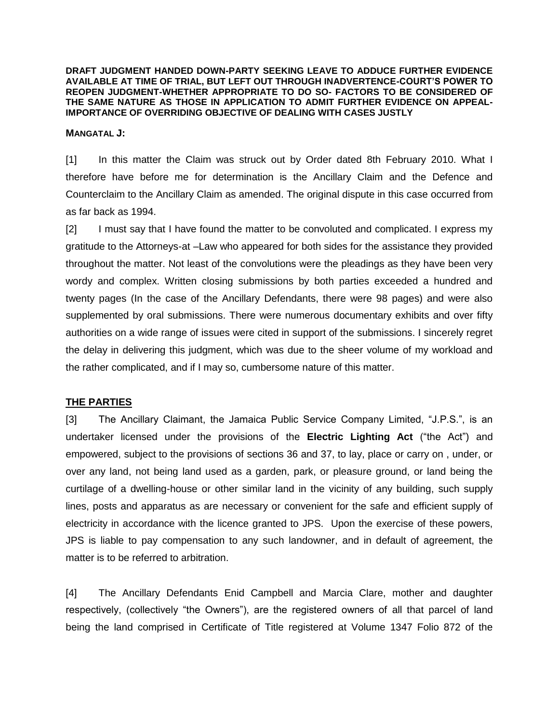**DRAFT JUDGMENT HANDED DOWN-PARTY SEEKING LEAVE TO ADDUCE FURTHER EVIDENCE AVAILABLE AT TIME OF TRIAL, BUT LEFT OUT THROUGH INADVERTENCE-COURT'S POWER TO REOPEN JUDGMENT-WHETHER APPROPRIATE TO DO SO- FACTORS TO BE CONSIDERED OF THE SAME NATURE AS THOSE IN APPLICATION TO ADMIT FURTHER EVIDENCE ON APPEAL-IMPORTANCE OF OVERRIDING OBJECTIVE OF DEALING WITH CASES JUSTLY** 

#### **MANGATAL J:**

[1] In this matter the Claim was struck out by Order dated 8th February 2010. What I therefore have before me for determination is the Ancillary Claim and the Defence and Counterclaim to the Ancillary Claim as amended. The original dispute in this case occurred from as far back as 1994.

[2] I must say that I have found the matter to be convoluted and complicated. I express my gratitude to the Attorneys-at –Law who appeared for both sides for the assistance they provided throughout the matter. Not least of the convolutions were the pleadings as they have been very wordy and complex. Written closing submissions by both parties exceeded a hundred and twenty pages (In the case of the Ancillary Defendants, there were 98 pages) and were also supplemented by oral submissions. There were numerous documentary exhibits and over fifty authorities on a wide range of issues were cited in support of the submissions. I sincerely regret the delay in delivering this judgment, which was due to the sheer volume of my workload and the rather complicated, and if I may so, cumbersome nature of this matter.

### **THE PARTIES**

[3] The Ancillary Claimant, the Jamaica Public Service Company Limited, "J.P.S.", is an undertaker licensed under the provisions of the **Electric Lighting Act** ("the Act") and empowered, subject to the provisions of sections 36 and 37, to lay, place or carry on , under, or over any land, not being land used as a garden, park, or pleasure ground, or land being the curtilage of a dwelling-house or other similar land in the vicinity of any building, such supply lines, posts and apparatus as are necessary or convenient for the safe and efficient supply of electricity in accordance with the licence granted to JPS. Upon the exercise of these powers, JPS is liable to pay compensation to any such landowner, and in default of agreement, the matter is to be referred to arbitration.

[4] The Ancillary Defendants Enid Campbell and Marcia Clare, mother and daughter respectively, (collectively "the Owners"), are the registered owners of all that parcel of land being the land comprised in Certificate of Title registered at Volume 1347 Folio 872 of the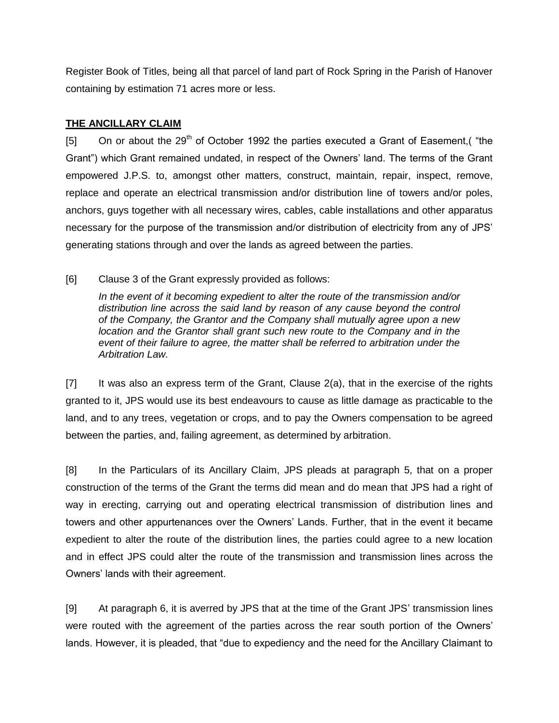Register Book of Titles, being all that parcel of land part of Rock Spring in the Parish of Hanover containing by estimation 71 acres more or less.

## **THE ANCILLARY CLAIM**

 $[5]$  On or about the 29<sup>th</sup> of October 1992 the parties executed a Grant of Easement, ("the Grant") which Grant remained undated, in respect of the Owners' land. The terms of the Grant empowered J.P.S. to, amongst other matters, construct, maintain, repair, inspect, remove, replace and operate an electrical transmission and/or distribution line of towers and/or poles, anchors, guys together with all necessary wires, cables, cable installations and other apparatus necessary for the purpose of the transmission and/or distribution of electricity from any of JPS' generating stations through and over the lands as agreed between the parties.

[6] Clause 3 of the Grant expressly provided as follows:

*In the event of it becoming expedient to alter the route of the transmission and/or distribution line across the said land by reason of any cause beyond the control of the Company, the Grantor and the Company shall mutually agree upon a new location and the Grantor shall grant such new route to the Company and in the event of their failure to agree, the matter shall be referred to arbitration under the Arbitration Law.*

[7] It was also an express term of the Grant, Clause 2(a), that in the exercise of the rights granted to it, JPS would use its best endeavours to cause as little damage as practicable to the land, and to any trees, vegetation or crops, and to pay the Owners compensation to be agreed between the parties, and, failing agreement, as determined by arbitration.

[8] In the Particulars of its Ancillary Claim, JPS pleads at paragraph 5, that on a proper construction of the terms of the Grant the terms did mean and do mean that JPS had a right of way in erecting, carrying out and operating electrical transmission of distribution lines and towers and other appurtenances over the Owners' Lands. Further, that in the event it became expedient to alter the route of the distribution lines, the parties could agree to a new location and in effect JPS could alter the route of the transmission and transmission lines across the Owners' lands with their agreement.

[9] At paragraph 6, it is averred by JPS that at the time of the Grant JPS' transmission lines were routed with the agreement of the parties across the rear south portion of the Owners' lands. However, it is pleaded, that "due to expediency and the need for the Ancillary Claimant to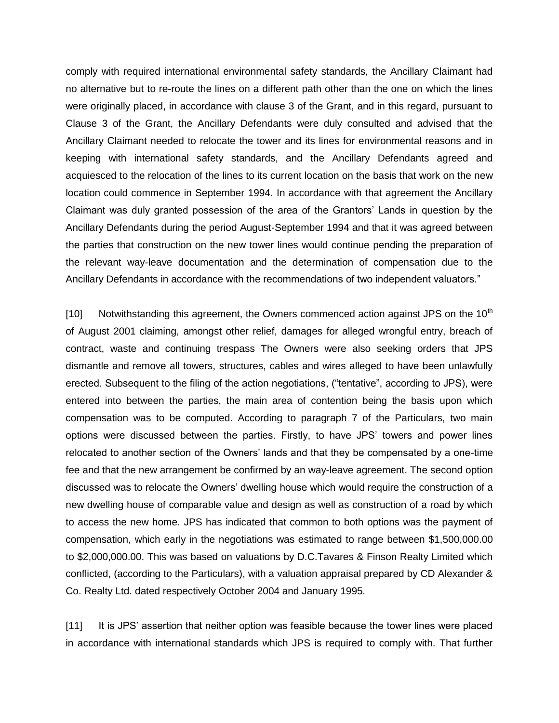comply with required international environmental safety standards, the Ancillary Claimant had no alternative but to re-route the lines on a different path other than the one on which the lines were originally placed, in accordance with clause 3 of the Grant, and in this regard, pursuant to Clause 3 of the Grant, the Ancillary Defendants were duly consulted and advised that the Ancillary Claimant needed to relocate the tower and its lines for environmental reasons and in keeping with international safety standards, and the Ancillary Defendants agreed and acquiesced to the relocation of the lines to its current location on the basis that work on the new location could commence in September 1994. In accordance with that agreement the Ancillary Claimant was duly granted possession of the area of the Grantors' Lands in question by the Ancillary Defendants during the period August-September 1994 and that it was agreed between the parties that construction on the new tower lines would continue pending the preparation of the relevant way-leave documentation and the determination of compensation due to the Ancillary Defendants in accordance with the recommendations of two independent valuators."

 $[10]$  Notwithstanding this agreement, the Owners commenced action against JPS on the 10<sup>th</sup> of August 2001 claiming, amongst other relief, damages for alleged wrongful entry, breach of contract, waste and continuing trespass The Owners were also seeking orders that JPS dismantle and remove all towers, structures, cables and wires alleged to have been unlawfully erected. Subsequent to the filing of the action negotiations, ("tentative", according to JPS), were entered into between the parties, the main area of contention being the basis upon which compensation was to be computed. According to paragraph 7 of the Particulars, two main options were discussed between the parties. Firstly, to have JPS' towers and power lines relocated to another section of the Owners' lands and that they be compensated by a one-time fee and that the new arrangement be confirmed by an way-leave agreement. The second option discussed was to relocate the Owners' dwelling house which would require the construction of a new dwelling house of comparable value and design as well as construction of a road by which to access the new home. JPS has indicated that common to both options was the payment of compensation, which early in the negotiations was estimated to range between \$1,500,000.00 to \$2,000,000.00. This was based on valuations by D.C.Tavares & Finson Realty Limited which conflicted, (according to the Particulars), with a valuation appraisal prepared by CD Alexander & Co. Realty Ltd. dated respectively October 2004 and January 1995.

[11] It is JPS' assertion that neither option was feasible because the tower lines were placed in accordance with international standards which JPS is required to comply with. That further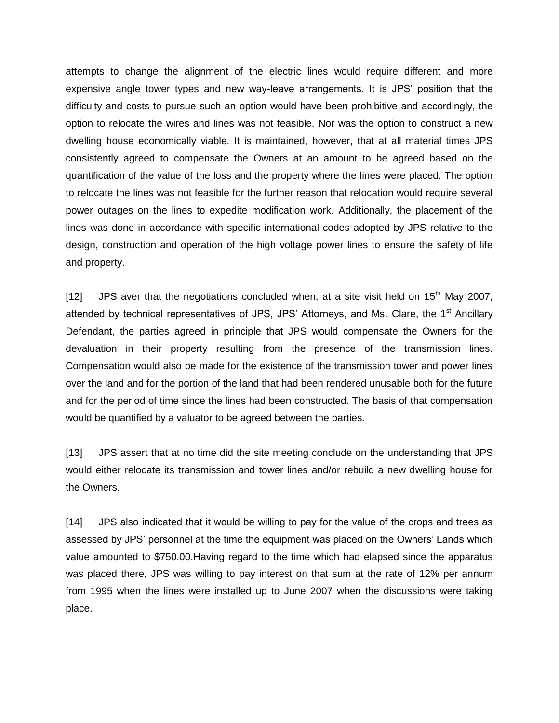attempts to change the alignment of the electric lines would require different and more expensive angle tower types and new way-leave arrangements. It is JPS' position that the difficulty and costs to pursue such an option would have been prohibitive and accordingly, the option to relocate the wires and lines was not feasible. Nor was the option to construct a new dwelling house economically viable. It is maintained, however, that at all material times JPS consistently agreed to compensate the Owners at an amount to be agreed based on the quantification of the value of the loss and the property where the lines were placed. The option to relocate the lines was not feasible for the further reason that relocation would require several power outages on the lines to expedite modification work. Additionally, the placement of the lines was done in accordance with specific international codes adopted by JPS relative to the design, construction and operation of the high voltage power lines to ensure the safety of life and property.

[12] JPS aver that the negotiations concluded when, at a site visit held on  $15<sup>th</sup>$  May 2007, attended by technical representatives of JPS, JPS' Attorneys, and Ms. Clare, the 1<sup>st</sup> Ancillary Defendant, the parties agreed in principle that JPS would compensate the Owners for the devaluation in their property resulting from the presence of the transmission lines. Compensation would also be made for the existence of the transmission tower and power lines over the land and for the portion of the land that had been rendered unusable both for the future and for the period of time since the lines had been constructed. The basis of that compensation would be quantified by a valuator to be agreed between the parties.

[13] JPS assert that at no time did the site meeting conclude on the understanding that JPS would either relocate its transmission and tower lines and/or rebuild a new dwelling house for the Owners.

[14] JPS also indicated that it would be willing to pay for the value of the crops and trees as assessed by JPS' personnel at the time the equipment was placed on the Owners' Lands which value amounted to \$750.00.Having regard to the time which had elapsed since the apparatus was placed there, JPS was willing to pay interest on that sum at the rate of 12% per annum from 1995 when the lines were installed up to June 2007 when the discussions were taking place.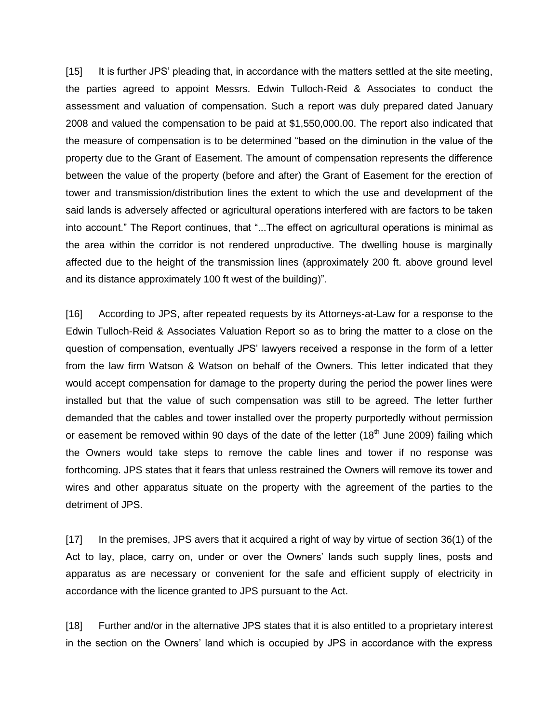[15] It is further JPS' pleading that, in accordance with the matters settled at the site meeting, the parties agreed to appoint Messrs. Edwin Tulloch-Reid & Associates to conduct the assessment and valuation of compensation. Such a report was duly prepared dated January 2008 and valued the compensation to be paid at \$1,550,000.00. The report also indicated that the measure of compensation is to be determined "based on the diminution in the value of the property due to the Grant of Easement. The amount of compensation represents the difference between the value of the property (before and after) the Grant of Easement for the erection of tower and transmission/distribution lines the extent to which the use and development of the said lands is adversely affected or agricultural operations interfered with are factors to be taken into account." The Report continues, that "...The effect on agricultural operations is minimal as the area within the corridor is not rendered unproductive. The dwelling house is marginally affected due to the height of the transmission lines (approximately 200 ft. above ground level and its distance approximately 100 ft west of the building)".

[16] According to JPS, after repeated requests by its Attorneys-at-Law for a response to the Edwin Tulloch-Reid & Associates Valuation Report so as to bring the matter to a close on the question of compensation, eventually JPS' lawyers received a response in the form of a letter from the law firm Watson & Watson on behalf of the Owners. This letter indicated that they would accept compensation for damage to the property during the period the power lines were installed but that the value of such compensation was still to be agreed. The letter further demanded that the cables and tower installed over the property purportedly without permission or easement be removed within 90 days of the date of the letter  $(18<sup>th</sup>$  June 2009) failing which the Owners would take steps to remove the cable lines and tower if no response was forthcoming. JPS states that it fears that unless restrained the Owners will remove its tower and wires and other apparatus situate on the property with the agreement of the parties to the detriment of JPS.

[17] In the premises, JPS avers that it acquired a right of way by virtue of section 36(1) of the Act to lay, place, carry on, under or over the Owners' lands such supply lines, posts and apparatus as are necessary or convenient for the safe and efficient supply of electricity in accordance with the licence granted to JPS pursuant to the Act.

[18] Further and/or in the alternative JPS states that it is also entitled to a proprietary interest in the section on the Owners' land which is occupied by JPS in accordance with the express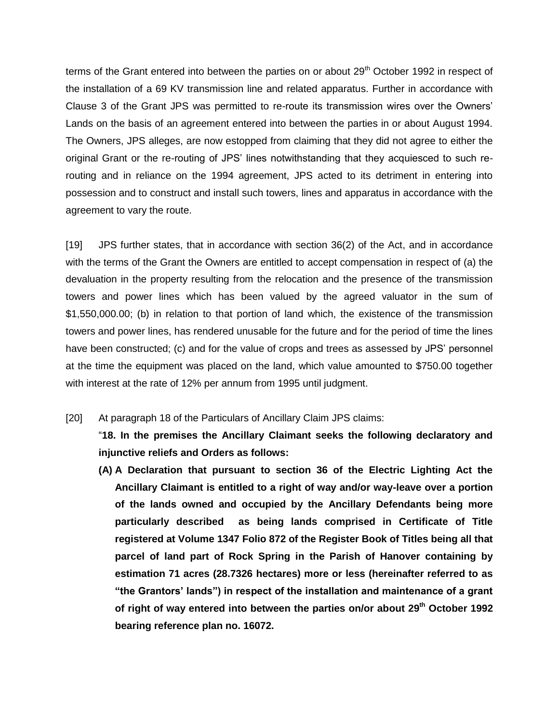terms of the Grant entered into between the parties on or about 29<sup>th</sup> October 1992 in respect of the installation of a 69 KV transmission line and related apparatus. Further in accordance with Clause 3 of the Grant JPS was permitted to re-route its transmission wires over the Owners' Lands on the basis of an agreement entered into between the parties in or about August 1994. The Owners, JPS alleges, are now estopped from claiming that they did not agree to either the original Grant or the re-routing of JPS' lines notwithstanding that they acquiesced to such rerouting and in reliance on the 1994 agreement, JPS acted to its detriment in entering into possession and to construct and install such towers, lines and apparatus in accordance with the agreement to vary the route.

[19] JPS further states, that in accordance with section 36(2) of the Act, and in accordance with the terms of the Grant the Owners are entitled to accept compensation in respect of (a) the devaluation in the property resulting from the relocation and the presence of the transmission towers and power lines which has been valued by the agreed valuator in the sum of \$1,550,000.00; (b) in relation to that portion of land which, the existence of the transmission towers and power lines, has rendered unusable for the future and for the period of time the lines have been constructed; (c) and for the value of crops and trees as assessed by JPS' personnel at the time the equipment was placed on the land, which value amounted to \$750.00 together with interest at the rate of 12% per annum from 1995 until judgment.

[20] At paragraph 18 of the Particulars of Ancillary Claim JPS claims:

"**18. In the premises the Ancillary Claimant seeks the following declaratory and injunctive reliefs and Orders as follows:**

**(A) A Declaration that pursuant to section 36 of the Electric Lighting Act the Ancillary Claimant is entitled to a right of way and/or way-leave over a portion of the lands owned and occupied by the Ancillary Defendants being more particularly described as being lands comprised in Certificate of Title registered at Volume 1347 Folio 872 of the Register Book of Titles being all that parcel of land part of Rock Spring in the Parish of Hanover containing by estimation 71 acres (28.7326 hectares) more or less (hereinafter referred to as "the Grantors' lands") in respect of the installation and maintenance of a grant of right of way entered into between the parties on/or about 29th October 1992 bearing reference plan no. 16072.**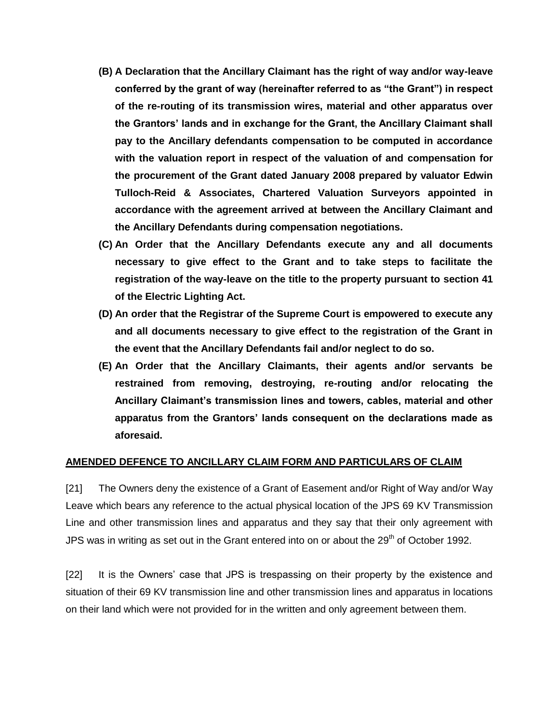- **(B) A Declaration that the Ancillary Claimant has the right of way and/or way-leave conferred by the grant of way (hereinafter referred to as "the Grant") in respect of the re-routing of its transmission wires, material and other apparatus over the Grantors' lands and in exchange for the Grant, the Ancillary Claimant shall pay to the Ancillary defendants compensation to be computed in accordance with the valuation report in respect of the valuation of and compensation for the procurement of the Grant dated January 2008 prepared by valuator Edwin Tulloch-Reid & Associates, Chartered Valuation Surveyors appointed in accordance with the agreement arrived at between the Ancillary Claimant and the Ancillary Defendants during compensation negotiations.**
- **(C) An Order that the Ancillary Defendants execute any and all documents necessary to give effect to the Grant and to take steps to facilitate the registration of the way-leave on the title to the property pursuant to section 41 of the Electric Lighting Act.**
- **(D) An order that the Registrar of the Supreme Court is empowered to execute any and all documents necessary to give effect to the registration of the Grant in the event that the Ancillary Defendants fail and/or neglect to do so.**
- **(E) An Order that the Ancillary Claimants, their agents and/or servants be restrained from removing, destroying, re-routing and/or relocating the Ancillary Claimant's transmission lines and towers, cables, material and other apparatus from the Grantors' lands consequent on the declarations made as aforesaid.**

### **AMENDED DEFENCE TO ANCILLARY CLAIM FORM AND PARTICULARS OF CLAIM**

[21] The Owners deny the existence of a Grant of Easement and/or Right of Way and/or Way Leave which bears any reference to the actual physical location of the JPS 69 KV Transmission Line and other transmission lines and apparatus and they say that their only agreement with JPS was in writing as set out in the Grant entered into on or about the  $29<sup>th</sup>$  of October 1992.

[22] It is the Owners' case that JPS is trespassing on their property by the existence and situation of their 69 KV transmission line and other transmission lines and apparatus in locations on their land which were not provided for in the written and only agreement between them.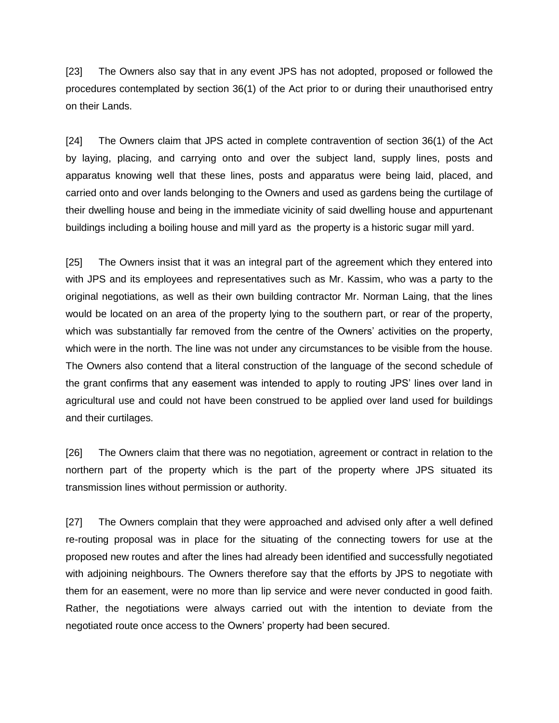[23] The Owners also say that in any event JPS has not adopted, proposed or followed the procedures contemplated by section 36(1) of the Act prior to or during their unauthorised entry on their Lands.

[24] The Owners claim that JPS acted in complete contravention of section 36(1) of the Act by laying, placing, and carrying onto and over the subject land, supply lines, posts and apparatus knowing well that these lines, posts and apparatus were being laid, placed, and carried onto and over lands belonging to the Owners and used as gardens being the curtilage of their dwelling house and being in the immediate vicinity of said dwelling house and appurtenant buildings including a boiling house and mill yard as the property is a historic sugar mill yard.

[25] The Owners insist that it was an integral part of the agreement which they entered into with JPS and its employees and representatives such as Mr. Kassim, who was a party to the original negotiations, as well as their own building contractor Mr. Norman Laing, that the lines would be located on an area of the property lying to the southern part, or rear of the property, which was substantially far removed from the centre of the Owners' activities on the property, which were in the north. The line was not under any circumstances to be visible from the house. The Owners also contend that a literal construction of the language of the second schedule of the grant confirms that any easement was intended to apply to routing JPS' lines over land in agricultural use and could not have been construed to be applied over land used for buildings and their curtilages.

[26] The Owners claim that there was no negotiation, agreement or contract in relation to the northern part of the property which is the part of the property where JPS situated its transmission lines without permission or authority.

[27] The Owners complain that they were approached and advised only after a well defined re-routing proposal was in place for the situating of the connecting towers for use at the proposed new routes and after the lines had already been identified and successfully negotiated with adjoining neighbours. The Owners therefore say that the efforts by JPS to negotiate with them for an easement, were no more than lip service and were never conducted in good faith. Rather, the negotiations were always carried out with the intention to deviate from the negotiated route once access to the Owners' property had been secured.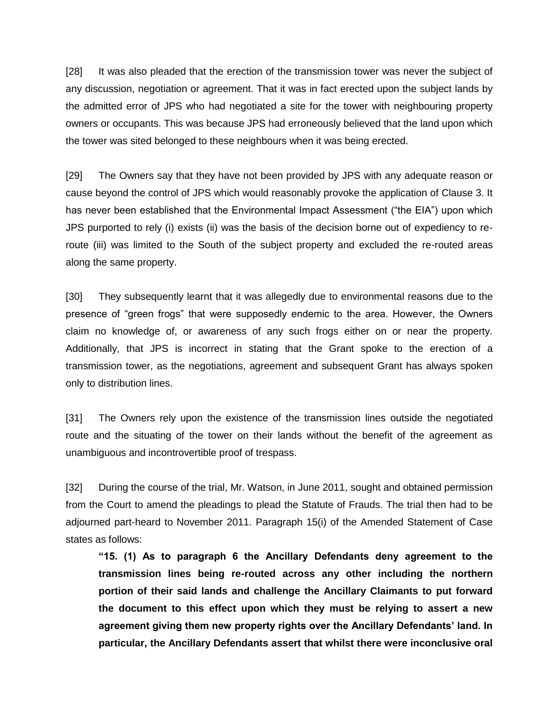[28] It was also pleaded that the erection of the transmission tower was never the subject of any discussion, negotiation or agreement. That it was in fact erected upon the subject lands by the admitted error of JPS who had negotiated a site for the tower with neighbouring property owners or occupants. This was because JPS had erroneously believed that the land upon which the tower was sited belonged to these neighbours when it was being erected.

[29] The Owners say that they have not been provided by JPS with any adequate reason or cause beyond the control of JPS which would reasonably provoke the application of Clause 3. It has never been established that the Environmental Impact Assessment ("the EIA") upon which JPS purported to rely (i) exists (ii) was the basis of the decision borne out of expediency to reroute (iii) was limited to the South of the subject property and excluded the re-routed areas along the same property.

[30] They subsequently learnt that it was allegedly due to environmental reasons due to the presence of "green frogs" that were supposedly endemic to the area. However, the Owners claim no knowledge of, or awareness of any such frogs either on or near the property. Additionally, that JPS is incorrect in stating that the Grant spoke to the erection of a transmission tower, as the negotiations, agreement and subsequent Grant has always spoken only to distribution lines.

[31] The Owners rely upon the existence of the transmission lines outside the negotiated route and the situating of the tower on their lands without the benefit of the agreement as unambiguous and incontrovertible proof of trespass.

[32] During the course of the trial, Mr. Watson, in June 2011, sought and obtained permission from the Court to amend the pleadings to plead the Statute of Frauds. The trial then had to be adjourned part-heard to November 2011. Paragraph 15(i) of the Amended Statement of Case states as follows:

**"15. (1) As to paragraph 6 the Ancillary Defendants deny agreement to the transmission lines being re-routed across any other including the northern portion of their said lands and challenge the Ancillary Claimants to put forward the document to this effect upon which they must be relying to assert a new agreement giving them new property rights over the Ancillary Defendants' land. In particular, the Ancillary Defendants assert that whilst there were inconclusive oral**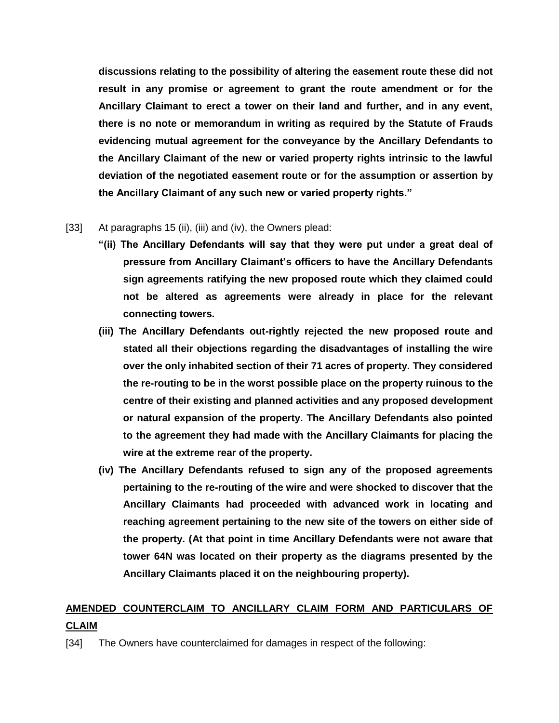**discussions relating to the possibility of altering the easement route these did not result in any promise or agreement to grant the route amendment or for the Ancillary Claimant to erect a tower on their land and further, and in any event, there is no note or memorandum in writing as required by the Statute of Frauds evidencing mutual agreement for the conveyance by the Ancillary Defendants to the Ancillary Claimant of the new or varied property rights intrinsic to the lawful deviation of the negotiated easement route or for the assumption or assertion by the Ancillary Claimant of any such new or varied property rights."**

### [33] At paragraphs 15 (ii), (iii) and (iv), the Owners plead:

- **"(ii) The Ancillary Defendants will say that they were put under a great deal of pressure from Ancillary Claimant's officers to have the Ancillary Defendants sign agreements ratifying the new proposed route which they claimed could not be altered as agreements were already in place for the relevant connecting towers.**
- **(iii) The Ancillary Defendants out-rightly rejected the new proposed route and stated all their objections regarding the disadvantages of installing the wire over the only inhabited section of their 71 acres of property. They considered the re-routing to be in the worst possible place on the property ruinous to the centre of their existing and planned activities and any proposed development or natural expansion of the property. The Ancillary Defendants also pointed to the agreement they had made with the Ancillary Claimants for placing the wire at the extreme rear of the property.**
- **(iv) The Ancillary Defendants refused to sign any of the proposed agreements pertaining to the re-routing of the wire and were shocked to discover that the Ancillary Claimants had proceeded with advanced work in locating and reaching agreement pertaining to the new site of the towers on either side of the property. (At that point in time Ancillary Defendants were not aware that tower 64N was located on their property as the diagrams presented by the Ancillary Claimants placed it on the neighbouring property).**

# **AMENDED COUNTERCLAIM TO ANCILLARY CLAIM FORM AND PARTICULARS OF CLAIM**

[34] The Owners have counterclaimed for damages in respect of the following: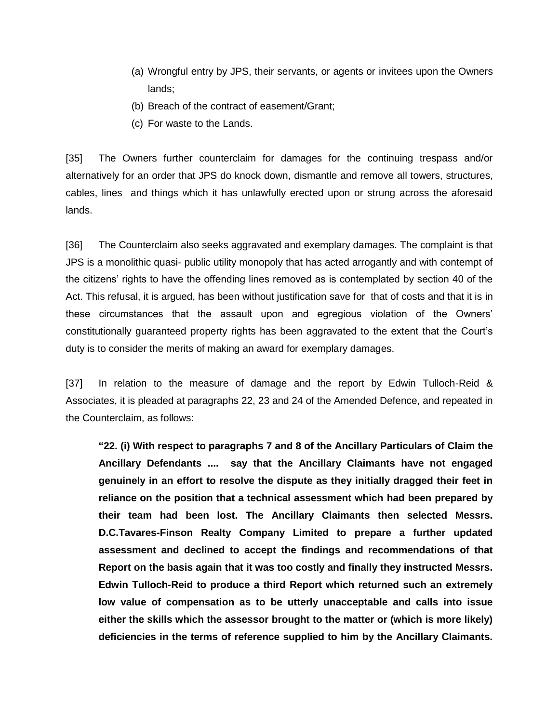- (a) Wrongful entry by JPS, their servants, or agents or invitees upon the Owners lands;
- (b) Breach of the contract of easement/Grant;
- (c) For waste to the Lands.

[35] The Owners further counterclaim for damages for the continuing trespass and/or alternatively for an order that JPS do knock down, dismantle and remove all towers, structures, cables, lines and things which it has unlawfully erected upon or strung across the aforesaid lands.

[36] The Counterclaim also seeks aggravated and exemplary damages. The complaint is that JPS is a monolithic quasi- public utility monopoly that has acted arrogantly and with contempt of the citizens' rights to have the offending lines removed as is contemplated by section 40 of the Act. This refusal, it is argued, has been without justification save for that of costs and that it is in these circumstances that the assault upon and egregious violation of the Owners' constitutionally guaranteed property rights has been aggravated to the extent that the Court's duty is to consider the merits of making an award for exemplary damages.

[37] In relation to the measure of damage and the report by Edwin Tulloch-Reid & Associates, it is pleaded at paragraphs 22, 23 and 24 of the Amended Defence, and repeated in the Counterclaim, as follows:

**"22. (i) With respect to paragraphs 7 and 8 of the Ancillary Particulars of Claim the Ancillary Defendants .... say that the Ancillary Claimants have not engaged genuinely in an effort to resolve the dispute as they initially dragged their feet in reliance on the position that a technical assessment which had been prepared by their team had been lost. The Ancillary Claimants then selected Messrs. D.C.Tavares-Finson Realty Company Limited to prepare a further updated assessment and declined to accept the findings and recommendations of that Report on the basis again that it was too costly and finally they instructed Messrs. Edwin Tulloch-Reid to produce a third Report which returned such an extremely low value of compensation as to be utterly unacceptable and calls into issue either the skills which the assessor brought to the matter or (which is more likely) deficiencies in the terms of reference supplied to him by the Ancillary Claimants.**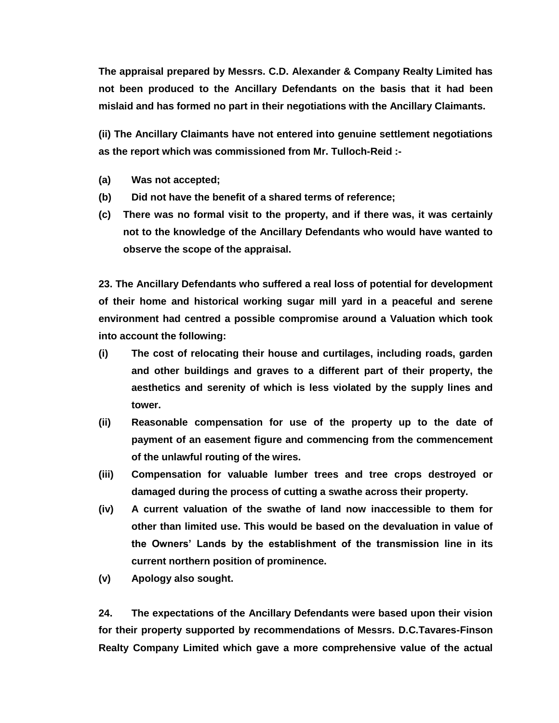**The appraisal prepared by Messrs. C.D. Alexander & Company Realty Limited has not been produced to the Ancillary Defendants on the basis that it had been mislaid and has formed no part in their negotiations with the Ancillary Claimants.**

**(ii) The Ancillary Claimants have not entered into genuine settlement negotiations as the report which was commissioned from Mr. Tulloch-Reid :-**

- **(a) Was not accepted;**
- **(b) Did not have the benefit of a shared terms of reference;**
- **(c) There was no formal visit to the property, and if there was, it was certainly not to the knowledge of the Ancillary Defendants who would have wanted to observe the scope of the appraisal.**

**23. The Ancillary Defendants who suffered a real loss of potential for development of their home and historical working sugar mill yard in a peaceful and serene environment had centred a possible compromise around a Valuation which took into account the following:**

- **(i) The cost of relocating their house and curtilages, including roads, garden and other buildings and graves to a different part of their property, the aesthetics and serenity of which is less violated by the supply lines and tower.**
- **(ii) Reasonable compensation for use of the property up to the date of payment of an easement figure and commencing from the commencement of the unlawful routing of the wires.**
- **(iii) Compensation for valuable lumber trees and tree crops destroyed or damaged during the process of cutting a swathe across their property.**
- **(iv) A current valuation of the swathe of land now inaccessible to them for other than limited use. This would be based on the devaluation in value of the Owners' Lands by the establishment of the transmission line in its current northern position of prominence.**
- **(v) Apology also sought.**

**24. The expectations of the Ancillary Defendants were based upon their vision for their property supported by recommendations of Messrs. D.C.Tavares-Finson Realty Company Limited which gave a more comprehensive value of the actual**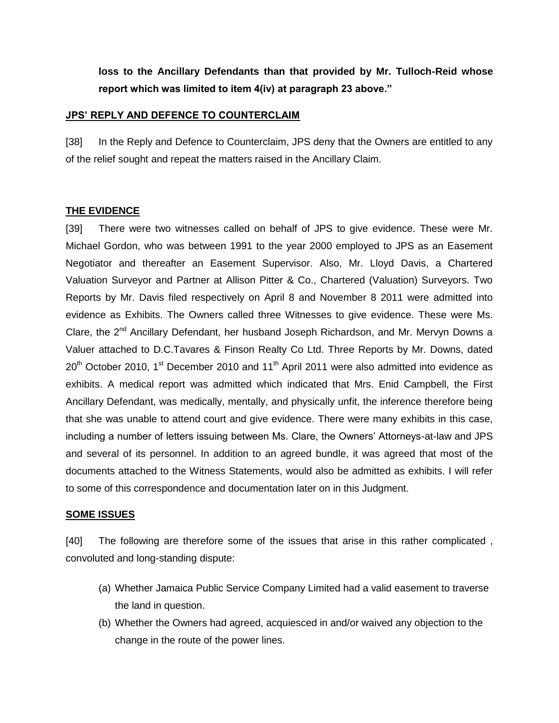**loss to the Ancillary Defendants than that provided by Mr. Tulloch-Reid whose report which was limited to item 4(iv) at paragraph 23 above."**

#### **JPS' REPLY AND DEFENCE TO COUNTERCLAIM**

[38] In the Reply and Defence to Counterclaim, JPS deny that the Owners are entitled to any of the relief sought and repeat the matters raised in the Ancillary Claim.

### **THE EVIDENCE**

[39] There were two witnesses called on behalf of JPS to give evidence. These were Mr. Michael Gordon, who was between 1991 to the year 2000 employed to JPS as an Easement Negotiator and thereafter an Easement Supervisor. Also, Mr. Lloyd Davis, a Chartered Valuation Surveyor and Partner at Allison Pitter & Co., Chartered (Valuation) Surveyors. Two Reports by Mr. Davis filed respectively on April 8 and November 8 2011 were admitted into evidence as Exhibits. The Owners called three Witnesses to give evidence. These were Ms. Clare, the  $2^{nd}$  Ancillary Defendant, her husband Joseph Richardson, and Mr. Mervyn Downs a Valuer attached to D.C.Tavares & Finson Realty Co Ltd. Three Reports by Mr. Downs, dated  $20<sup>th</sup>$  October 2010, 1<sup>st</sup> December 2010 and 11<sup>th</sup> April 2011 were also admitted into evidence as exhibits. A medical report was admitted which indicated that Mrs. Enid Campbell, the First Ancillary Defendant, was medically, mentally, and physically unfit, the inference therefore being that she was unable to attend court and give evidence. There were many exhibits in this case, including a number of letters issuing between Ms. Clare, the Owners' Attorneys-at-law and JPS and several of its personnel. In addition to an agreed bundle, it was agreed that most of the documents attached to the Witness Statements, would also be admitted as exhibits. I will refer to some of this correspondence and documentation later on in this Judgment.

#### **SOME ISSUES**

[40] The following are therefore some of the issues that arise in this rather complicated , convoluted and long-standing dispute:

- (a) Whether Jamaica Public Service Company Limited had a valid easement to traverse the land in question.
- (b) Whether the Owners had agreed, acquiesced in and/or waived any objection to the change in the route of the power lines.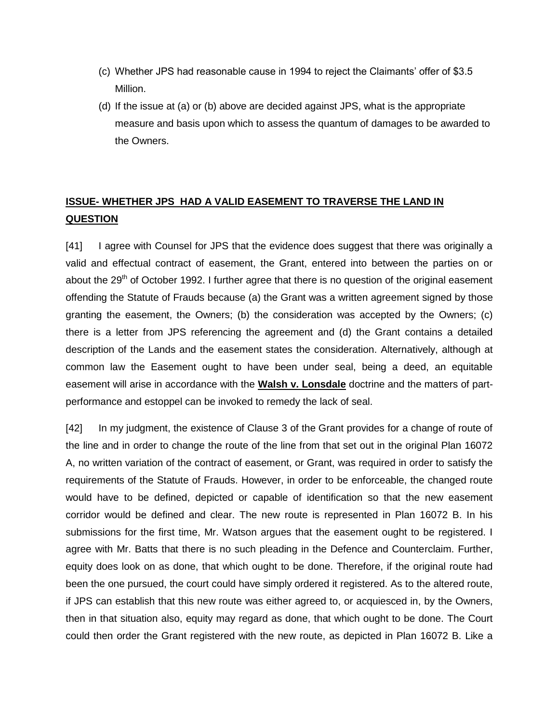- (c) Whether JPS had reasonable cause in 1994 to reject the Claimants' offer of \$3.5 Million.
- (d) If the issue at (a) or (b) above are decided against JPS, what is the appropriate measure and basis upon which to assess the quantum of damages to be awarded to the Owners.

# **ISSUE- WHETHER JPS HAD A VALID EASEMENT TO TRAVERSE THE LAND IN QUESTION**

[41] I agree with Counsel for JPS that the evidence does suggest that there was originally a valid and effectual contract of easement, the Grant, entered into between the parties on or about the  $29<sup>th</sup>$  of October 1992. I further agree that there is no question of the original easement offending the Statute of Frauds because (a) the Grant was a written agreement signed by those granting the easement, the Owners; (b) the consideration was accepted by the Owners; (c) there is a letter from JPS referencing the agreement and (d) the Grant contains a detailed description of the Lands and the easement states the consideration. Alternatively, although at common law the Easement ought to have been under seal, being a deed, an equitable easement will arise in accordance with the **Walsh v. Lonsdale** doctrine and the matters of partperformance and estoppel can be invoked to remedy the lack of seal.

[42] In my judgment, the existence of Clause 3 of the Grant provides for a change of route of the line and in order to change the route of the line from that set out in the original Plan 16072 A, no written variation of the contract of easement, or Grant, was required in order to satisfy the requirements of the Statute of Frauds. However, in order to be enforceable, the changed route would have to be defined, depicted or capable of identification so that the new easement corridor would be defined and clear. The new route is represented in Plan 16072 B. In his submissions for the first time, Mr. Watson argues that the easement ought to be registered. I agree with Mr. Batts that there is no such pleading in the Defence and Counterclaim. Further, equity does look on as done, that which ought to be done. Therefore, if the original route had been the one pursued, the court could have simply ordered it registered. As to the altered route, if JPS can establish that this new route was either agreed to, or acquiesced in, by the Owners, then in that situation also, equity may regard as done, that which ought to be done. The Court could then order the Grant registered with the new route, as depicted in Plan 16072 B. Like a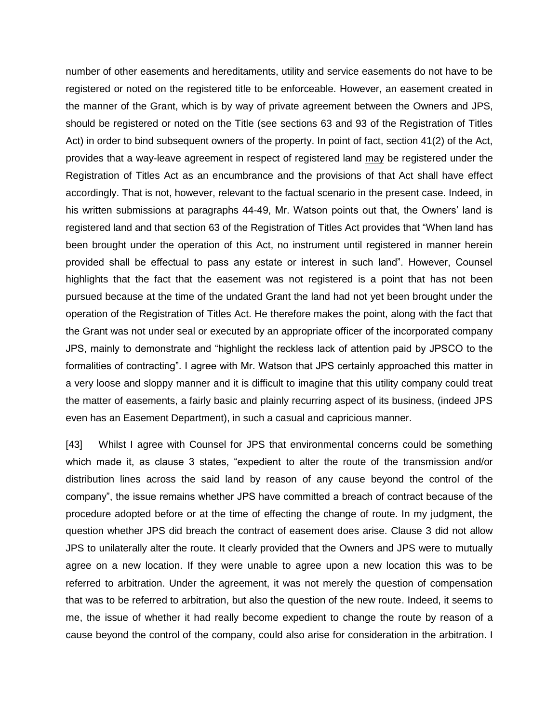number of other easements and hereditaments, utility and service easements do not have to be registered or noted on the registered title to be enforceable. However, an easement created in the manner of the Grant, which is by way of private agreement between the Owners and JPS, should be registered or noted on the Title (see sections 63 and 93 of the Registration of Titles Act) in order to bind subsequent owners of the property. In point of fact, section 41(2) of the Act, provides that a way-leave agreement in respect of registered land may be registered under the Registration of Titles Act as an encumbrance and the provisions of that Act shall have effect accordingly. That is not, however, relevant to the factual scenario in the present case. Indeed, in his written submissions at paragraphs 44-49, Mr. Watson points out that, the Owners' land is registered land and that section 63 of the Registration of Titles Act provides that "When land has been brought under the operation of this Act, no instrument until registered in manner herein provided shall be effectual to pass any estate or interest in such land". However, Counsel highlights that the fact that the easement was not registered is a point that has not been pursued because at the time of the undated Grant the land had not yet been brought under the operation of the Registration of Titles Act. He therefore makes the point, along with the fact that the Grant was not under seal or executed by an appropriate officer of the incorporated company JPS, mainly to demonstrate and "highlight the reckless lack of attention paid by JPSCO to the formalities of contracting". I agree with Mr. Watson that JPS certainly approached this matter in a very loose and sloppy manner and it is difficult to imagine that this utility company could treat the matter of easements, a fairly basic and plainly recurring aspect of its business, (indeed JPS even has an Easement Department), in such a casual and capricious manner.

[43] Whilst I agree with Counsel for JPS that environmental concerns could be something which made it, as clause 3 states, "expedient to alter the route of the transmission and/or distribution lines across the said land by reason of any cause beyond the control of the company", the issue remains whether JPS have committed a breach of contract because of the procedure adopted before or at the time of effecting the change of route. In my judgment, the question whether JPS did breach the contract of easement does arise. Clause 3 did not allow JPS to unilaterally alter the route. It clearly provided that the Owners and JPS were to mutually agree on a new location. If they were unable to agree upon a new location this was to be referred to arbitration. Under the agreement, it was not merely the question of compensation that was to be referred to arbitration, but also the question of the new route. Indeed, it seems to me, the issue of whether it had really become expedient to change the route by reason of a cause beyond the control of the company, could also arise for consideration in the arbitration. I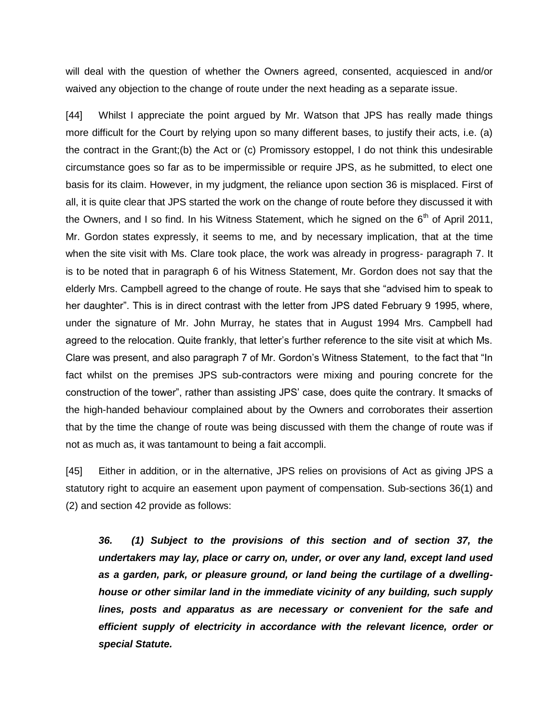will deal with the question of whether the Owners agreed, consented, acquiesced in and/or waived any objection to the change of route under the next heading as a separate issue.

[44] Whilst I appreciate the point argued by Mr. Watson that JPS has really made things more difficult for the Court by relying upon so many different bases, to justify their acts, i.e. (a) the contract in the Grant;(b) the Act or (c) Promissory estoppel, I do not think this undesirable circumstance goes so far as to be impermissible or require JPS, as he submitted, to elect one basis for its claim. However, in my judgment, the reliance upon section 36 is misplaced. First of all, it is quite clear that JPS started the work on the change of route before they discussed it with the Owners, and I so find. In his Witness Statement, which he signed on the  $6<sup>th</sup>$  of April 2011, Mr. Gordon states expressly, it seems to me, and by necessary implication, that at the time when the site visit with Ms. Clare took place, the work was already in progress- paragraph 7. It is to be noted that in paragraph 6 of his Witness Statement, Mr. Gordon does not say that the elderly Mrs. Campbell agreed to the change of route. He says that she "advised him to speak to her daughter". This is in direct contrast with the letter from JPS dated February 9 1995, where, under the signature of Mr. John Murray, he states that in August 1994 Mrs. Campbell had agreed to the relocation. Quite frankly, that letter's further reference to the site visit at which Ms. Clare was present, and also paragraph 7 of Mr. Gordon's Witness Statement, to the fact that "In fact whilst on the premises JPS sub-contractors were mixing and pouring concrete for the construction of the tower", rather than assisting JPS' case, does quite the contrary. It smacks of the high-handed behaviour complained about by the Owners and corroborates their assertion that by the time the change of route was being discussed with them the change of route was if not as much as, it was tantamount to being a fait accompli.

[45] Either in addition, or in the alternative, JPS relies on provisions of Act as giving JPS a statutory right to acquire an easement upon payment of compensation. Sub-sections 36(1) and (2) and section 42 provide as follows:

*36. (1) Subject to the provisions of this section and of section 37, the undertakers may lay, place or carry on, under, or over any land, except land used as a garden, park, or pleasure ground, or land being the curtilage of a dwellinghouse or other similar land in the immediate vicinity of any building, such supply lines, posts and apparatus as are necessary or convenient for the safe and efficient supply of electricity in accordance with the relevant licence, order or special Statute.*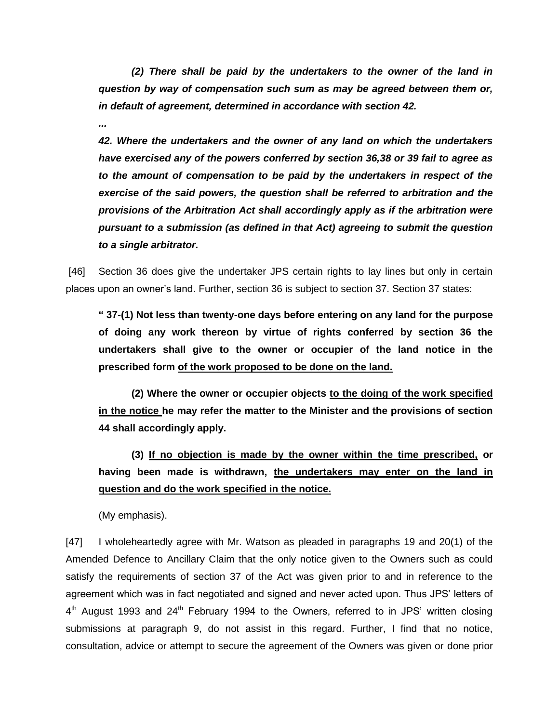*(2) There shall be paid by the undertakers to the owner of the land in question by way of compensation such sum as may be agreed between them or, in default of agreement, determined in accordance with section 42.*

*...*

*42. Where the undertakers and the owner of any land on which the undertakers have exercised any of the powers conferred by section 36,38 or 39 fail to agree as to the amount of compensation to be paid by the undertakers in respect of the exercise of the said powers, the question shall be referred to arbitration and the provisions of the Arbitration Act shall accordingly apply as if the arbitration were pursuant to a submission (as defined in that Act) agreeing to submit the question to a single arbitrator.* 

[46] Section 36 does give the undertaker JPS certain rights to lay lines but only in certain places upon an owner's land. Further, section 36 is subject to section 37. Section 37 states:

**" 37-(1) Not less than twenty-one days before entering on any land for the purpose of doing any work thereon by virtue of rights conferred by section 36 the undertakers shall give to the owner or occupier of the land notice in the prescribed form of the work proposed to be done on the land.**

**(2) Where the owner or occupier objects to the doing of the work specified in the notice he may refer the matter to the Minister and the provisions of section 44 shall accordingly apply.**

**(3) If no objection is made by the owner within the time prescribed, or having been made is withdrawn, the undertakers may enter on the land in question and do the work specified in the notice.**

(My emphasis).

[47] I wholeheartedly agree with Mr. Watson as pleaded in paragraphs 19 and 20(1) of the Amended Defence to Ancillary Claim that the only notice given to the Owners such as could satisfy the requirements of section 37 of the Act was given prior to and in reference to the agreement which was in fact negotiated and signed and never acted upon. Thus JPS' letters of  $4<sup>th</sup>$  August 1993 and 24<sup>th</sup> February 1994 to the Owners, referred to in JPS' written closing submissions at paragraph 9, do not assist in this regard. Further, I find that no notice, consultation, advice or attempt to secure the agreement of the Owners was given or done prior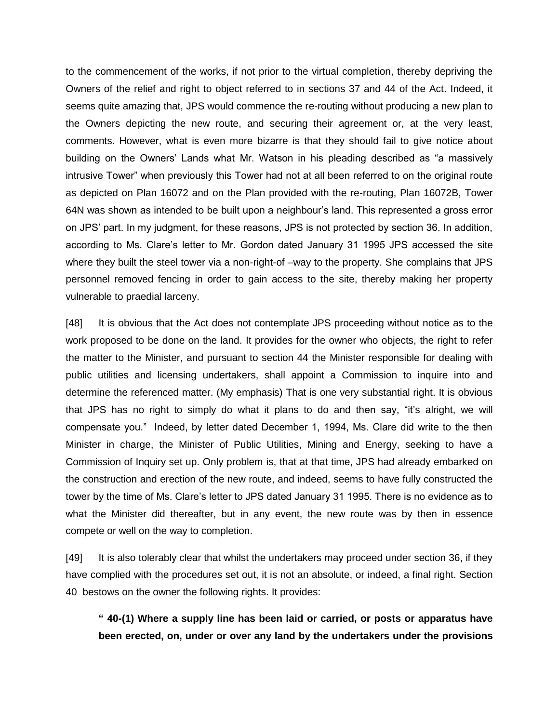to the commencement of the works, if not prior to the virtual completion, thereby depriving the Owners of the relief and right to object referred to in sections 37 and 44 of the Act. Indeed, it seems quite amazing that, JPS would commence the re-routing without producing a new plan to the Owners depicting the new route, and securing their agreement or, at the very least, comments. However, what is even more bizarre is that they should fail to give notice about building on the Owners' Lands what Mr. Watson in his pleading described as "a massively intrusive Tower" when previously this Tower had not at all been referred to on the original route as depicted on Plan 16072 and on the Plan provided with the re-routing, Plan 16072B, Tower 64N was shown as intended to be built upon a neighbour's land. This represented a gross error on JPS' part. In my judgment, for these reasons, JPS is not protected by section 36. In addition, according to Ms. Clare's letter to Mr. Gordon dated January 31 1995 JPS accessed the site where they built the steel tower via a non-right-of –way to the property. She complains that JPS personnel removed fencing in order to gain access to the site, thereby making her property vulnerable to praedial larceny.

[48] It is obvious that the Act does not contemplate JPS proceeding without notice as to the work proposed to be done on the land. It provides for the owner who objects, the right to refer the matter to the Minister, and pursuant to section 44 the Minister responsible for dealing with public utilities and licensing undertakers, shall appoint a Commission to inquire into and determine the referenced matter. (My emphasis) That is one very substantial right. It is obvious that JPS has no right to simply do what it plans to do and then say, "it's alright, we will compensate you." Indeed, by letter dated December 1, 1994, Ms. Clare did write to the then Minister in charge, the Minister of Public Utilities, Mining and Energy, seeking to have a Commission of Inquiry set up. Only problem is, that at that time, JPS had already embarked on the construction and erection of the new route, and indeed, seems to have fully constructed the tower by the time of Ms. Clare's letter to JPS dated January 31 1995. There is no evidence as to what the Minister did thereafter, but in any event, the new route was by then in essence compete or well on the way to completion.

[49] It is also tolerably clear that whilst the undertakers may proceed under section 36, if they have complied with the procedures set out, it is not an absolute, or indeed, a final right. Section 40 bestows on the owner the following rights. It provides:

**" 40-(1) Where a supply line has been laid or carried, or posts or apparatus have been erected, on, under or over any land by the undertakers under the provisions**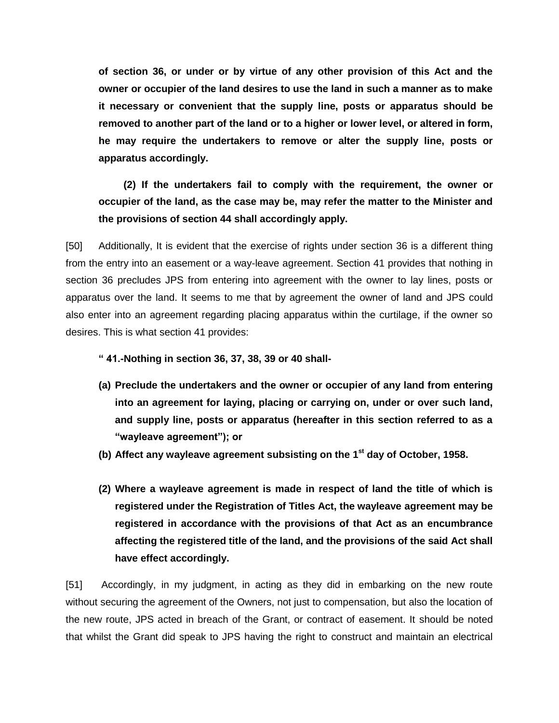**of section 36, or under or by virtue of any other provision of this Act and the owner or occupier of the land desires to use the land in such a manner as to make it necessary or convenient that the supply line, posts or apparatus should be removed to another part of the land or to a higher or lower level, or altered in form, he may require the undertakers to remove or alter the supply line, posts or apparatus accordingly.** 

 **(2) If the undertakers fail to comply with the requirement, the owner or occupier of the land, as the case may be, may refer the matter to the Minister and the provisions of section 44 shall accordingly apply.**

[50] Additionally, It is evident that the exercise of rights under section 36 is a different thing from the entry into an easement or a way-leave agreement. Section 41 provides that nothing in section 36 precludes JPS from entering into agreement with the owner to lay lines, posts or apparatus over the land. It seems to me that by agreement the owner of land and JPS could also enter into an agreement regarding placing apparatus within the curtilage, if the owner so desires. This is what section 41 provides:

**" 41.-Nothing in section 36, 37, 38, 39 or 40 shall-**

- **(a) Preclude the undertakers and the owner or occupier of any land from entering into an agreement for laying, placing or carrying on, under or over such land, and supply line, posts or apparatus (hereafter in this section referred to as a "wayleave agreement"); or**
- **(b) Affect any wayleave agreement subsisting on the 1st day of October, 1958.**
- **(2) Where a wayleave agreement is made in respect of land the title of which is registered under the Registration of Titles Act, the wayleave agreement may be registered in accordance with the provisions of that Act as an encumbrance affecting the registered title of the land, and the provisions of the said Act shall have effect accordingly.**

[51] Accordingly, in my judgment, in acting as they did in embarking on the new route without securing the agreement of the Owners, not just to compensation, but also the location of the new route, JPS acted in breach of the Grant, or contract of easement. It should be noted that whilst the Grant did speak to JPS having the right to construct and maintain an electrical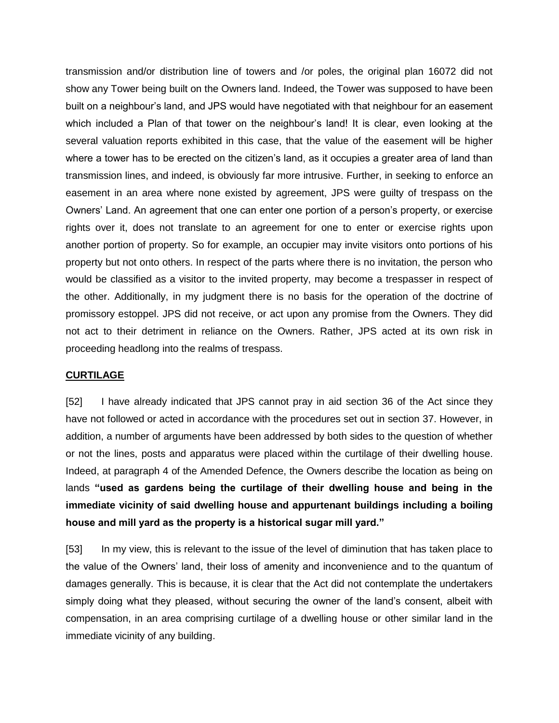transmission and/or distribution line of towers and /or poles, the original plan 16072 did not show any Tower being built on the Owners land. Indeed, the Tower was supposed to have been built on a neighbour's land, and JPS would have negotiated with that neighbour for an easement which included a Plan of that tower on the neighbour's land! It is clear, even looking at the several valuation reports exhibited in this case, that the value of the easement will be higher where a tower has to be erected on the citizen's land, as it occupies a greater area of land than transmission lines, and indeed, is obviously far more intrusive. Further, in seeking to enforce an easement in an area where none existed by agreement, JPS were guilty of trespass on the Owners' Land. An agreement that one can enter one portion of a person's property, or exercise rights over it, does not translate to an agreement for one to enter or exercise rights upon another portion of property. So for example, an occupier may invite visitors onto portions of his property but not onto others. In respect of the parts where there is no invitation, the person who would be classified as a visitor to the invited property, may become a trespasser in respect of the other. Additionally, in my judgment there is no basis for the operation of the doctrine of promissory estoppel. JPS did not receive, or act upon any promise from the Owners. They did not act to their detriment in reliance on the Owners. Rather, JPS acted at its own risk in proceeding headlong into the realms of trespass.

#### **CURTILAGE**

[52] I have already indicated that JPS cannot pray in aid section 36 of the Act since they have not followed or acted in accordance with the procedures set out in section 37. However, in addition, a number of arguments have been addressed by both sides to the question of whether or not the lines, posts and apparatus were placed within the curtilage of their dwelling house. Indeed, at paragraph 4 of the Amended Defence, the Owners describe the location as being on lands **"used as gardens being the curtilage of their dwelling house and being in the immediate vicinity of said dwelling house and appurtenant buildings including a boiling house and mill yard as the property is a historical sugar mill yard."**

[53] In my view, this is relevant to the issue of the level of diminution that has taken place to the value of the Owners' land, their loss of amenity and inconvenience and to the quantum of damages generally. This is because, it is clear that the Act did not contemplate the undertakers simply doing what they pleased, without securing the owner of the land's consent, albeit with compensation, in an area comprising curtilage of a dwelling house or other similar land in the immediate vicinity of any building.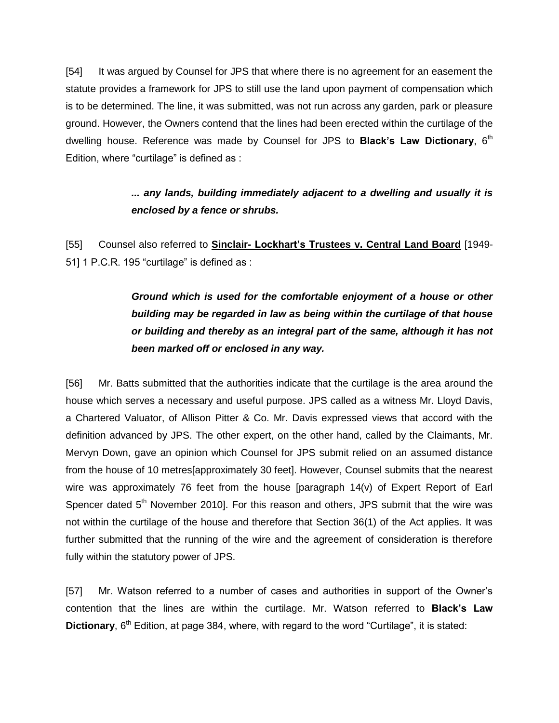[54] It was argued by Counsel for JPS that where there is no agreement for an easement the statute provides a framework for JPS to still use the land upon payment of compensation which is to be determined. The line, it was submitted, was not run across any garden, park or pleasure ground. However, the Owners contend that the lines had been erected within the curtilage of the dwelling house. Reference was made by Counsel for JPS to **Black's Law Dictionary**, 6<sup>th</sup> Edition, where "curtilage" is defined as :

# *... any lands, building immediately adjacent to a dwelling and usually it is enclosed by a fence or shrubs.*

[55] Counsel also referred to **Sinclair- Lockhart's Trustees v. Central Land Board** [1949- 51] 1 P.C.R. 195 "curtilage" is defined as :

> *Ground which is used for the comfortable enjoyment of a house or other building may be regarded in law as being within the curtilage of that house or building and thereby as an integral part of the same, although it has not been marked off or enclosed in any way.*

[56] Mr. Batts submitted that the authorities indicate that the curtilage is the area around the house which serves a necessary and useful purpose. JPS called as a witness Mr. Lloyd Davis, a Chartered Valuator, of Allison Pitter & Co. Mr. Davis expressed views that accord with the definition advanced by JPS. The other expert, on the other hand, called by the Claimants, Mr. Mervyn Down, gave an opinion which Counsel for JPS submit relied on an assumed distance from the house of 10 metres[approximately 30 feet]. However, Counsel submits that the nearest wire was approximately 76 feet from the house [paragraph 14(v) of Expert Report of Earl Spencer dated 5<sup>th</sup> November 2010]. For this reason and others, JPS submit that the wire was not within the curtilage of the house and therefore that Section 36(1) of the Act applies. It was further submitted that the running of the wire and the agreement of consideration is therefore fully within the statutory power of JPS.

[57] Mr. Watson referred to a number of cases and authorities in support of the Owner's contention that the lines are within the curtilage. Mr. Watson referred to **Black's Law Dictionary**, 6<sup>th</sup> Edition, at page 384, where, with regard to the word "Curtilage", it is stated: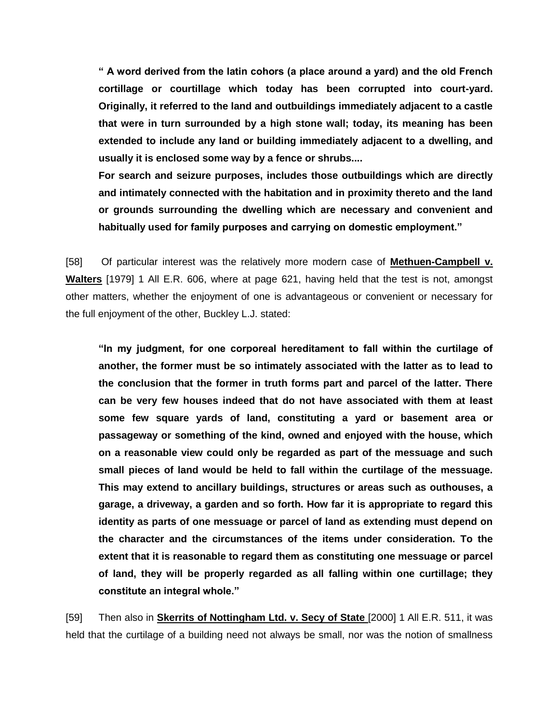**" A word derived from the latin cohors (a place around a yard) and the old French cortillage or courtillage which today has been corrupted into court-yard. Originally, it referred to the land and outbuildings immediately adjacent to a castle that were in turn surrounded by a high stone wall; today, its meaning has been extended to include any land or building immediately adjacent to a dwelling, and usually it is enclosed some way by a fence or shrubs....**

**For search and seizure purposes, includes those outbuildings which are directly and intimately connected with the habitation and in proximity thereto and the land or grounds surrounding the dwelling which are necessary and convenient and habitually used for family purposes and carrying on domestic employment."** 

[58] Of particular interest was the relatively more modern case of **Methuen-Campbell v. Walters** [1979] 1 All E.R. 606, where at page 621, having held that the test is not, amongst other matters, whether the enjoyment of one is advantageous or convenient or necessary for the full enjoyment of the other, Buckley L.J. stated:

**"In my judgment, for one corporeal hereditament to fall within the curtilage of another, the former must be so intimately associated with the latter as to lead to the conclusion that the former in truth forms part and parcel of the latter. There can be very few houses indeed that do not have associated with them at least some few square yards of land, constituting a yard or basement area or passageway or something of the kind, owned and enjoyed with the house, which on a reasonable view could only be regarded as part of the messuage and such small pieces of land would be held to fall within the curtilage of the messuage. This may extend to ancillary buildings, structures or areas such as outhouses, a garage, a driveway, a garden and so forth. How far it is appropriate to regard this identity as parts of one messuage or parcel of land as extending must depend on the character and the circumstances of the items under consideration. To the extent that it is reasonable to regard them as constituting one messuage or parcel of land, they will be properly regarded as all falling within one curtillage; they constitute an integral whole."** 

[59] Then also in **Skerrits of Nottingham Ltd. v. Secy of State** [2000] 1 All E.R. 511, it was held that the curtilage of a building need not always be small, nor was the notion of smallness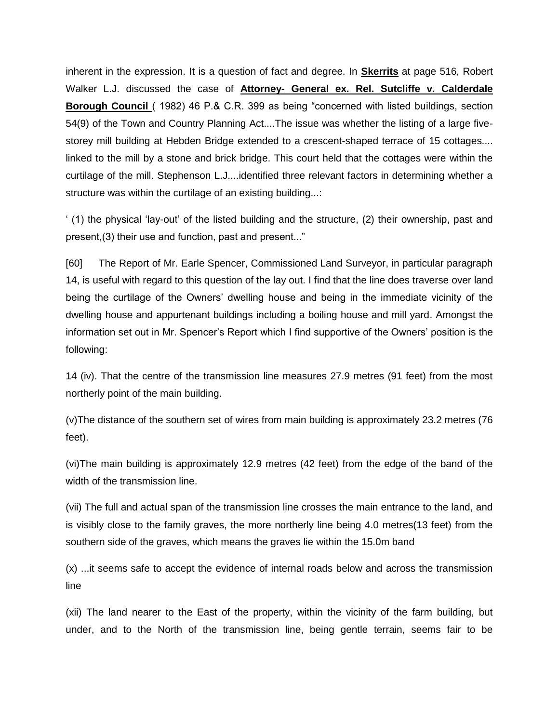inherent in the expression. It is a question of fact and degree. In **Skerrits** at page 516, Robert Walker L.J. discussed the case of **Attorney- General ex. Rel. Sutcliffe v. Calderdale Borough Council** ( 1982) 46 P.& C.R. 399 as being "concerned with listed buildings, section 54(9) of the Town and Country Planning Act....The issue was whether the listing of a large fivestorey mill building at Hebden Bridge extended to a crescent-shaped terrace of 15 cottages.... linked to the mill by a stone and brick bridge. This court held that the cottages were within the curtilage of the mill. Stephenson L.J....identified three relevant factors in determining whether a structure was within the curtilage of an existing building...:

' (1) the physical 'lay-out' of the listed building and the structure, (2) their ownership, past and present,(3) their use and function, past and present..."

[60] The Report of Mr. Earle Spencer, Commissioned Land Surveyor, in particular paragraph 14, is useful with regard to this question of the lay out. I find that the line does traverse over land being the curtilage of the Owners' dwelling house and being in the immediate vicinity of the dwelling house and appurtenant buildings including a boiling house and mill yard. Amongst the information set out in Mr. Spencer's Report which I find supportive of the Owners' position is the following:

14 (iv). That the centre of the transmission line measures 27.9 metres (91 feet) from the most northerly point of the main building.

(v)The distance of the southern set of wires from main building is approximately 23.2 metres (76 feet).

(vi)The main building is approximately 12.9 metres (42 feet) from the edge of the band of the width of the transmission line.

(vii) The full and actual span of the transmission line crosses the main entrance to the land, and is visibly close to the family graves, the more northerly line being 4.0 metres(13 feet) from the southern side of the graves, which means the graves lie within the 15.0m band

(x) ...it seems safe to accept the evidence of internal roads below and across the transmission line

(xii) The land nearer to the East of the property, within the vicinity of the farm building, but under, and to the North of the transmission line, being gentle terrain, seems fair to be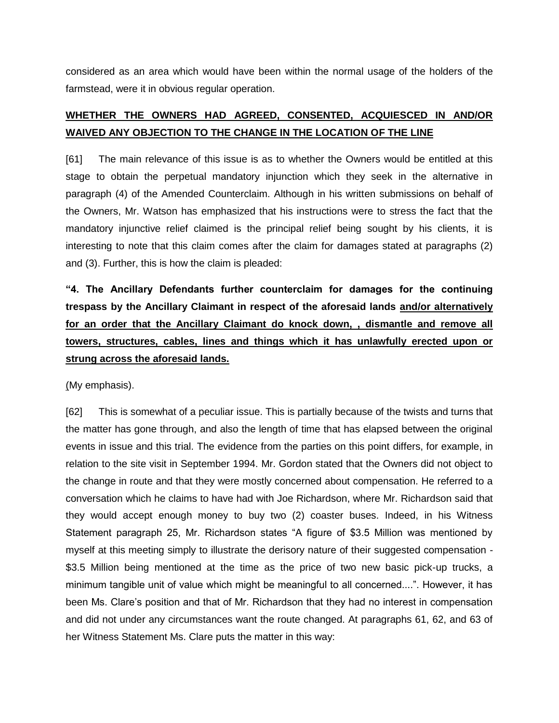considered as an area which would have been within the normal usage of the holders of the farmstead, were it in obvious regular operation.

# **WHETHER THE OWNERS HAD AGREED, CONSENTED, ACQUIESCED IN AND/OR WAIVED ANY OBJECTION TO THE CHANGE IN THE LOCATION OF THE LINE**

[61] The main relevance of this issue is as to whether the Owners would be entitled at this stage to obtain the perpetual mandatory injunction which they seek in the alternative in paragraph (4) of the Amended Counterclaim. Although in his written submissions on behalf of the Owners, Mr. Watson has emphasized that his instructions were to stress the fact that the mandatory injunctive relief claimed is the principal relief being sought by his clients, it is interesting to note that this claim comes after the claim for damages stated at paragraphs (2) and (3). Further, this is how the claim is pleaded:

**"4. The Ancillary Defendants further counterclaim for damages for the continuing trespass by the Ancillary Claimant in respect of the aforesaid lands and/or alternatively for an order that the Ancillary Claimant do knock down, , dismantle and remove all towers, structures, cables, lines and things which it has unlawfully erected upon or strung across the aforesaid lands.**

(My emphasis).

[62] This is somewhat of a peculiar issue. This is partially because of the twists and turns that the matter has gone through, and also the length of time that has elapsed between the original events in issue and this trial. The evidence from the parties on this point differs, for example, in relation to the site visit in September 1994. Mr. Gordon stated that the Owners did not object to the change in route and that they were mostly concerned about compensation. He referred to a conversation which he claims to have had with Joe Richardson, where Mr. Richardson said that they would accept enough money to buy two (2) coaster buses. Indeed, in his Witness Statement paragraph 25, Mr. Richardson states "A figure of \$3.5 Million was mentioned by myself at this meeting simply to illustrate the derisory nature of their suggested compensation - \$3.5 Million being mentioned at the time as the price of two new basic pick-up trucks, a minimum tangible unit of value which might be meaningful to all concerned....". However, it has been Ms. Clare's position and that of Mr. Richardson that they had no interest in compensation and did not under any circumstances want the route changed. At paragraphs 61, 62, and 63 of her Witness Statement Ms. Clare puts the matter in this way: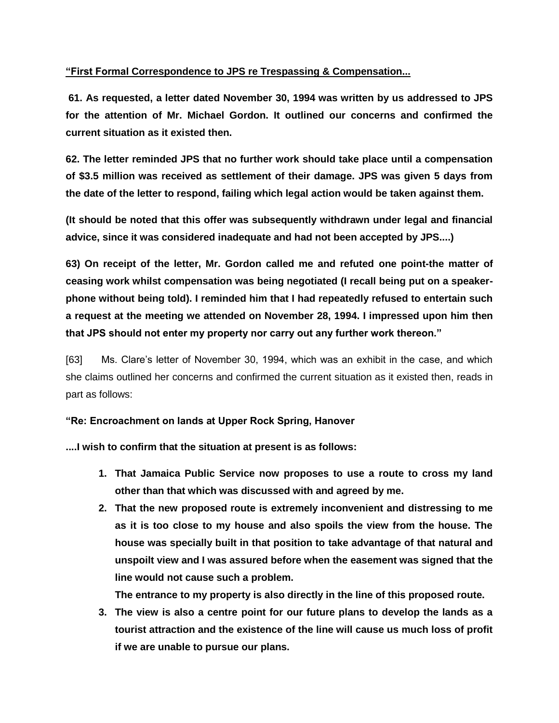## **"First Formal Correspondence to JPS re Trespassing & Compensation...**

**61. As requested, a letter dated November 30, 1994 was written by us addressed to JPS for the attention of Mr. Michael Gordon. It outlined our concerns and confirmed the current situation as it existed then.** 

**62. The letter reminded JPS that no further work should take place until a compensation of \$3.5 million was received as settlement of their damage. JPS was given 5 days from the date of the letter to respond, failing which legal action would be taken against them.**

**(It should be noted that this offer was subsequently withdrawn under legal and financial advice, since it was considered inadequate and had not been accepted by JPS....)**

**63) On receipt of the letter, Mr. Gordon called me and refuted one point-the matter of ceasing work whilst compensation was being negotiated (I recall being put on a speakerphone without being told). I reminded him that I had repeatedly refused to entertain such a request at the meeting we attended on November 28, 1994. I impressed upon him then that JPS should not enter my property nor carry out any further work thereon."**

[63] Ms. Clare's letter of November 30, 1994, which was an exhibit in the case, and which she claims outlined her concerns and confirmed the current situation as it existed then, reads in part as follows:

### **"Re: Encroachment on lands at Upper Rock Spring, Hanover**

**....I wish to confirm that the situation at present is as follows:**

- **1. That Jamaica Public Service now proposes to use a route to cross my land other than that which was discussed with and agreed by me.**
- **2. That the new proposed route is extremely inconvenient and distressing to me as it is too close to my house and also spoils the view from the house. The house was specially built in that position to take advantage of that natural and unspoilt view and I was assured before when the easement was signed that the line would not cause such a problem.**

**The entrance to my property is also directly in the line of this proposed route.**

**3. The view is also a centre point for our future plans to develop the lands as a tourist attraction and the existence of the line will cause us much loss of profit if we are unable to pursue our plans.**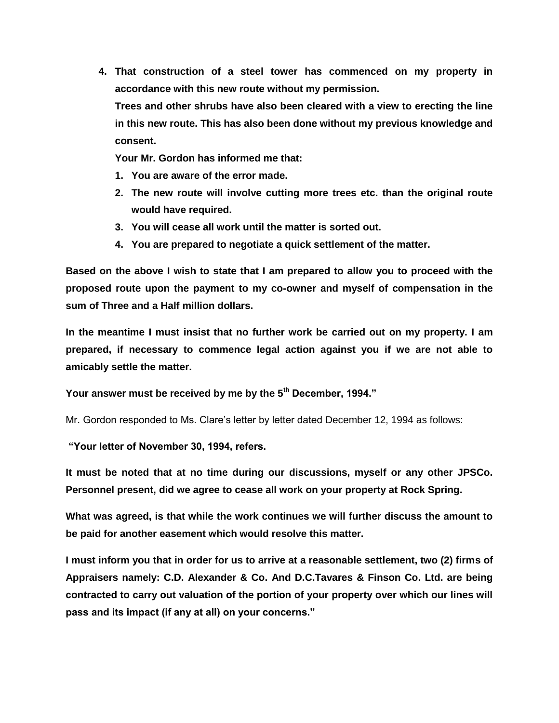**4. That construction of a steel tower has commenced on my property in accordance with this new route without my permission. Trees and other shrubs have also been cleared with a view to erecting the line in this new route. This has also been done without my previous knowledge and consent.**

**Your Mr. Gordon has informed me that:**

- **1. You are aware of the error made.**
- **2. The new route will involve cutting more trees etc. than the original route would have required.**
- **3. You will cease all work until the matter is sorted out.**
- **4. You are prepared to negotiate a quick settlement of the matter.**

**Based on the above I wish to state that I am prepared to allow you to proceed with the proposed route upon the payment to my co-owner and myself of compensation in the sum of Three and a Half million dollars.**

**In the meantime I must insist that no further work be carried out on my property. I am prepared, if necessary to commence legal action against you if we are not able to amicably settle the matter.**

**Your answer must be received by me by the 5th December, 1994."**

Mr. Gordon responded to Ms. Clare's letter by letter dated December 12, 1994 as follows:

**"Your letter of November 30, 1994, refers.**

**It must be noted that at no time during our discussions, myself or any other JPSCo. Personnel present, did we agree to cease all work on your property at Rock Spring.**

**What was agreed, is that while the work continues we will further discuss the amount to be paid for another easement which would resolve this matter.** 

**I must inform you that in order for us to arrive at a reasonable settlement, two (2) firms of Appraisers namely: C.D. Alexander & Co. And D.C.Tavares & Finson Co. Ltd. are being contracted to carry out valuation of the portion of your property over which our lines will pass and its impact (if any at all) on your concerns."**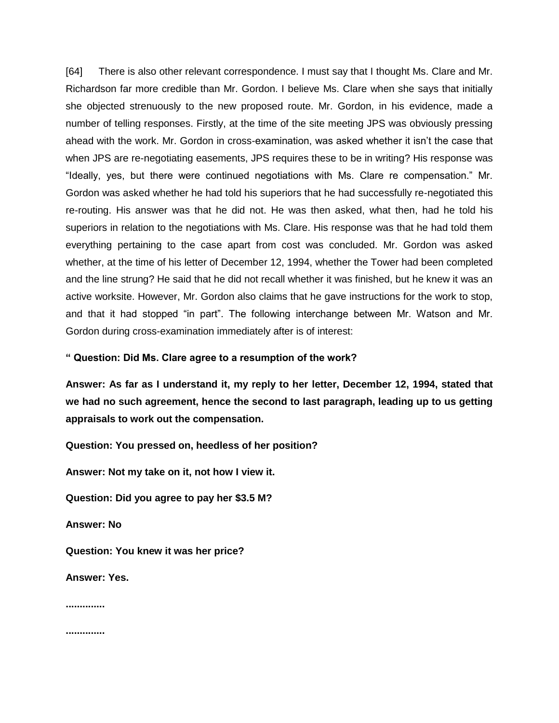[64] There is also other relevant correspondence. I must say that I thought Ms. Clare and Mr. Richardson far more credible than Mr. Gordon. I believe Ms. Clare when she says that initially she objected strenuously to the new proposed route. Mr. Gordon, in his evidence, made a number of telling responses. Firstly, at the time of the site meeting JPS was obviously pressing ahead with the work. Mr. Gordon in cross-examination, was asked whether it isn't the case that when JPS are re-negotiating easements, JPS requires these to be in writing? His response was "Ideally, yes, but there were continued negotiations with Ms. Clare re compensation." Mr. Gordon was asked whether he had told his superiors that he had successfully re-negotiated this re-routing. His answer was that he did not. He was then asked, what then, had he told his superiors in relation to the negotiations with Ms. Clare. His response was that he had told them everything pertaining to the case apart from cost was concluded. Mr. Gordon was asked whether, at the time of his letter of December 12, 1994, whether the Tower had been completed and the line strung? He said that he did not recall whether it was finished, but he knew it was an active worksite. However, Mr. Gordon also claims that he gave instructions for the work to stop, and that it had stopped "in part". The following interchange between Mr. Watson and Mr. Gordon during cross-examination immediately after is of interest:

#### **" Question: Did Ms. Clare agree to a resumption of the work?**

**Answer: As far as I understand it, my reply to her letter, December 12, 1994, stated that we had no such agreement, hence the second to last paragraph, leading up to us getting appraisals to work out the compensation.**

**Question: You pressed on, heedless of her position?**

**Answer: Not my take on it, not how I view it.** 

**Question: Did you agree to pay her \$3.5 M?**

**Answer: No**

**Question: You knew it was her price?**

**Answer: Yes.**

**..............**

**..............**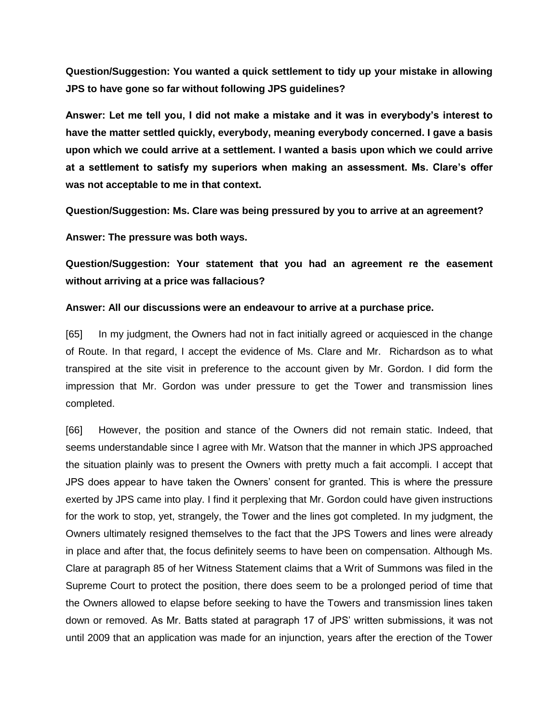**Question/Suggestion: You wanted a quick settlement to tidy up your mistake in allowing JPS to have gone so far without following JPS guidelines?**

**Answer: Let me tell you, I did not make a mistake and it was in everybody's interest to have the matter settled quickly, everybody, meaning everybody concerned. I gave a basis upon which we could arrive at a settlement. I wanted a basis upon which we could arrive at a settlement to satisfy my superiors when making an assessment. Ms. Clare's offer was not acceptable to me in that context.**

**Question/Suggestion: Ms. Clare was being pressured by you to arrive at an agreement?**

**Answer: The pressure was both ways.**

**Question/Suggestion: Your statement that you had an agreement re the easement without arriving at a price was fallacious?**

#### **Answer: All our discussions were an endeavour to arrive at a purchase price.**

[65] In my judgment, the Owners had not in fact initially agreed or acquiesced in the change of Route. In that regard, I accept the evidence of Ms. Clare and Mr. Richardson as to what transpired at the site visit in preference to the account given by Mr. Gordon. I did form the impression that Mr. Gordon was under pressure to get the Tower and transmission lines completed.

[66] However, the position and stance of the Owners did not remain static. Indeed, that seems understandable since I agree with Mr. Watson that the manner in which JPS approached the situation plainly was to present the Owners with pretty much a fait accompli. I accept that JPS does appear to have taken the Owners' consent for granted. This is where the pressure exerted by JPS came into play. I find it perplexing that Mr. Gordon could have given instructions for the work to stop, yet, strangely, the Tower and the lines got completed. In my judgment, the Owners ultimately resigned themselves to the fact that the JPS Towers and lines were already in place and after that, the focus definitely seems to have been on compensation. Although Ms. Clare at paragraph 85 of her Witness Statement claims that a Writ of Summons was filed in the Supreme Court to protect the position, there does seem to be a prolonged period of time that the Owners allowed to elapse before seeking to have the Towers and transmission lines taken down or removed. As Mr. Batts stated at paragraph 17 of JPS' written submissions, it was not until 2009 that an application was made for an injunction, years after the erection of the Tower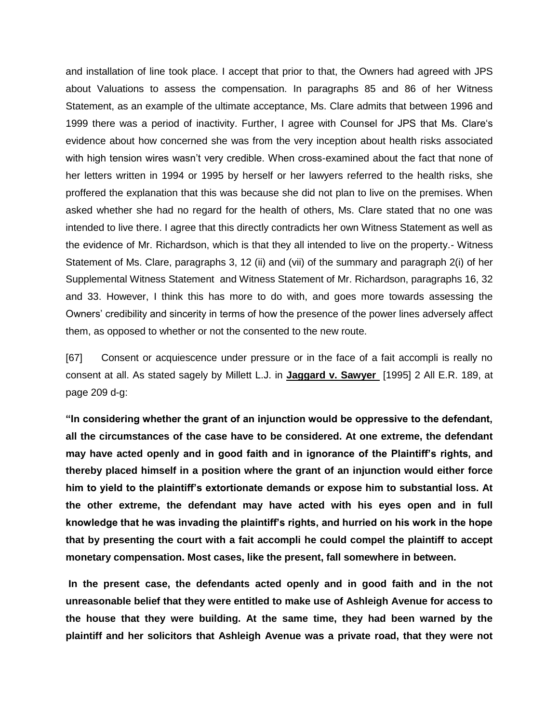and installation of line took place. I accept that prior to that, the Owners had agreed with JPS about Valuations to assess the compensation. In paragraphs 85 and 86 of her Witness Statement, as an example of the ultimate acceptance, Ms. Clare admits that between 1996 and 1999 there was a period of inactivity. Further, I agree with Counsel for JPS that Ms. Clare's evidence about how concerned she was from the very inception about health risks associated with high tension wires wasn't very credible. When cross-examined about the fact that none of her letters written in 1994 or 1995 by herself or her lawyers referred to the health risks, she proffered the explanation that this was because she did not plan to live on the premises. When asked whether she had no regard for the health of others, Ms. Clare stated that no one was intended to live there. I agree that this directly contradicts her own Witness Statement as well as the evidence of Mr. Richardson, which is that they all intended to live on the property.- Witness Statement of Ms. Clare, paragraphs 3, 12 (ii) and (vii) of the summary and paragraph 2(i) of her Supplemental Witness Statement and Witness Statement of Mr. Richardson, paragraphs 16, 32 and 33. However, I think this has more to do with, and goes more towards assessing the Owners' credibility and sincerity in terms of how the presence of the power lines adversely affect them, as opposed to whether or not the consented to the new route.

[67] Consent or acquiescence under pressure or in the face of a fait accompli is really no consent at all. As stated sagely by Millett L.J. in **Jaggard v. Sawyer** [1995] 2 All E.R. 189, at page 209 d-g:

**"In considering whether the grant of an injunction would be oppressive to the defendant, all the circumstances of the case have to be considered. At one extreme, the defendant may have acted openly and in good faith and in ignorance of the Plaintiff's rights, and thereby placed himself in a position where the grant of an injunction would either force him to yield to the plaintiff's extortionate demands or expose him to substantial loss. At the other extreme, the defendant may have acted with his eyes open and in full knowledge that he was invading the plaintiff's rights, and hurried on his work in the hope that by presenting the court with a fait accompli he could compel the plaintiff to accept monetary compensation. Most cases, like the present, fall somewhere in between.**

**In the present case, the defendants acted openly and in good faith and in the not unreasonable belief that they were entitled to make use of Ashleigh Avenue for access to the house that they were building. At the same time, they had been warned by the plaintiff and her solicitors that Ashleigh Avenue was a private road, that they were not**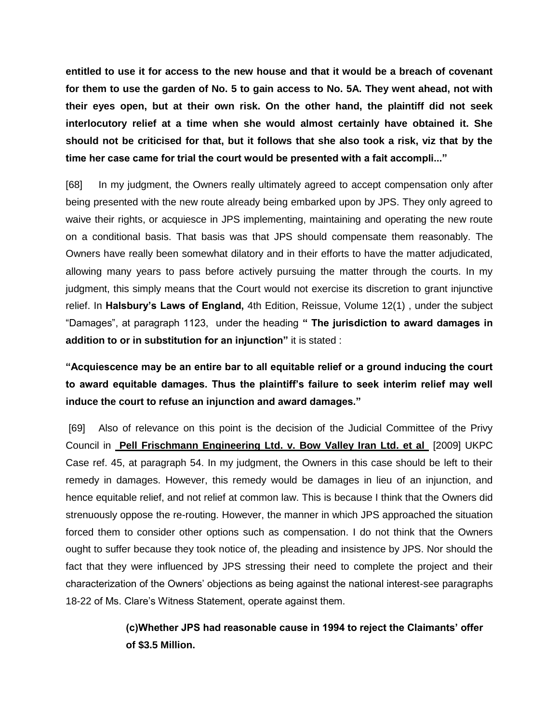**entitled to use it for access to the new house and that it would be a breach of covenant for them to use the garden of No. 5 to gain access to No. 5A. They went ahead, not with their eyes open, but at their own risk. On the other hand, the plaintiff did not seek interlocutory relief at a time when she would almost certainly have obtained it. She should not be criticised for that, but it follows that she also took a risk, viz that by the time her case came for trial the court would be presented with a fait accompli..."** 

[68] In my judgment, the Owners really ultimately agreed to accept compensation only after being presented with the new route already being embarked upon by JPS. They only agreed to waive their rights, or acquiesce in JPS implementing, maintaining and operating the new route on a conditional basis. That basis was that JPS should compensate them reasonably. The Owners have really been somewhat dilatory and in their efforts to have the matter adjudicated, allowing many years to pass before actively pursuing the matter through the courts. In my judgment, this simply means that the Court would not exercise its discretion to grant injunctive relief. In **Halsbury's Laws of England,** 4th Edition, Reissue, Volume 12(1) , under the subject "Damages", at paragraph 1123, under the heading **" The jurisdiction to award damages in addition to or in substitution for an injunction"** it is stated :

**"Acquiescence may be an entire bar to all equitable relief or a ground inducing the court to award equitable damages. Thus the plaintiff's failure to seek interim relief may well induce the court to refuse an injunction and award damages."** 

[69] Also of relevance on this point is the decision of the Judicial Committee of the Privy Council in **Pell Frischmann Engineering Ltd. v. Bow Valley Iran Ltd. et al** [2009] UKPC Case ref. 45, at paragraph 54. In my judgment, the Owners in this case should be left to their remedy in damages. However, this remedy would be damages in lieu of an injunction, and hence equitable relief, and not relief at common law. This is because I think that the Owners did strenuously oppose the re-routing. However, the manner in which JPS approached the situation forced them to consider other options such as compensation. I do not think that the Owners ought to suffer because they took notice of, the pleading and insistence by JPS. Nor should the fact that they were influenced by JPS stressing their need to complete the project and their characterization of the Owners' objections as being against the national interest-see paragraphs 18-22 of Ms. Clare's Witness Statement, operate against them.

> **(c)Whether JPS had reasonable cause in 1994 to reject the Claimants' offer of \$3.5 Million.**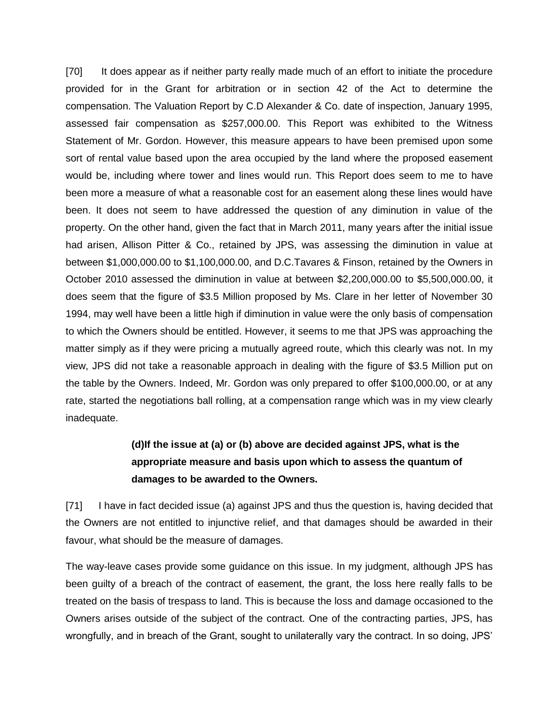[70] It does appear as if neither party really made much of an effort to initiate the procedure provided for in the Grant for arbitration or in section 42 of the Act to determine the compensation. The Valuation Report by C.D Alexander & Co. date of inspection, January 1995, assessed fair compensation as \$257,000.00. This Report was exhibited to the Witness Statement of Mr. Gordon. However, this measure appears to have been premised upon some sort of rental value based upon the area occupied by the land where the proposed easement would be, including where tower and lines would run. This Report does seem to me to have been more a measure of what a reasonable cost for an easement along these lines would have been. It does not seem to have addressed the question of any diminution in value of the property. On the other hand, given the fact that in March 2011, many years after the initial issue had arisen, Allison Pitter & Co., retained by JPS, was assessing the diminution in value at between \$1,000,000.00 to \$1,100,000.00, and D.C.Tavares & Finson, retained by the Owners in October 2010 assessed the diminution in value at between \$2,200,000.00 to \$5,500,000.00, it does seem that the figure of \$3.5 Million proposed by Ms. Clare in her letter of November 30 1994, may well have been a little high if diminution in value were the only basis of compensation to which the Owners should be entitled. However, it seems to me that JPS was approaching the matter simply as if they were pricing a mutually agreed route, which this clearly was not. In my view, JPS did not take a reasonable approach in dealing with the figure of \$3.5 Million put on the table by the Owners. Indeed, Mr. Gordon was only prepared to offer \$100,000.00, or at any rate, started the negotiations ball rolling, at a compensation range which was in my view clearly inadequate.

# **(d)If the issue at (a) or (b) above are decided against JPS, what is the appropriate measure and basis upon which to assess the quantum of damages to be awarded to the Owners.**

[71] I have in fact decided issue (a) against JPS and thus the question is, having decided that the Owners are not entitled to injunctive relief, and that damages should be awarded in their favour, what should be the measure of damages.

The way-leave cases provide some guidance on this issue. In my judgment, although JPS has been guilty of a breach of the contract of easement, the grant, the loss here really falls to be treated on the basis of trespass to land. This is because the loss and damage occasioned to the Owners arises outside of the subject of the contract. One of the contracting parties, JPS, has wrongfully, and in breach of the Grant, sought to unilaterally vary the contract. In so doing, JPS'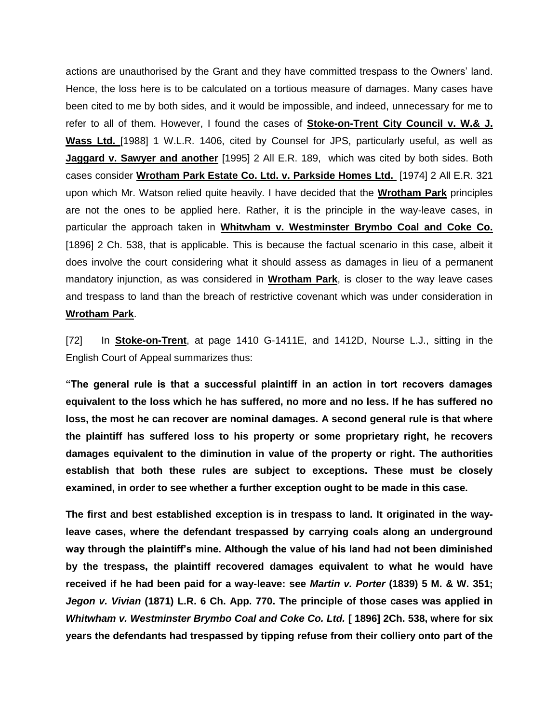actions are unauthorised by the Grant and they have committed trespass to the Owners' land. Hence, the loss here is to be calculated on a tortious measure of damages. Many cases have been cited to me by both sides, and it would be impossible, and indeed, unnecessary for me to refer to all of them. However, I found the cases of **Stoke-on-Trent City Council v. W.& J. Wass Ltd.** [1988] 1 W.L.R. 1406, cited by Counsel for JPS, particularly useful, as well as **Jaggard v. Sawyer and another** [1995] 2 All E.R. 189, which was cited by both sides. Both cases consider **Wrotham Park Estate Co. Ltd. v. Parkside Homes Ltd.** [1974] 2 All E.R. 321 upon which Mr. Watson relied quite heavily. I have decided that the **Wrotham Park** principles are not the ones to be applied here. Rather, it is the principle in the way-leave cases, in particular the approach taken in **Whitwham v. Westminster Brymbo Coal and Coke Co.** [1896] 2 Ch. 538, that is applicable. This is because the factual scenario in this case, albeit it does involve the court considering what it should assess as damages in lieu of a permanent mandatory injunction, as was considered in **Wrotham Park**, is closer to the way leave cases and trespass to land than the breach of restrictive covenant which was under consideration in **Wrotham Park**.

[72] In **Stoke-on-Trent**, at page 1410 G-1411E, and 1412D, Nourse L.J., sitting in the English Court of Appeal summarizes thus:

**"The general rule is that a successful plaintiff in an action in tort recovers damages equivalent to the loss which he has suffered, no more and no less. If he has suffered no loss, the most he can recover are nominal damages. A second general rule is that where the plaintiff has suffered loss to his property or some proprietary right, he recovers damages equivalent to the diminution in value of the property or right. The authorities establish that both these rules are subject to exceptions. These must be closely examined, in order to see whether a further exception ought to be made in this case.**

**The first and best established exception is in trespass to land. It originated in the wayleave cases, where the defendant trespassed by carrying coals along an underground way through the plaintiff's mine. Although the value of his land had not been diminished by the trespass, the plaintiff recovered damages equivalent to what he would have received if he had been paid for a way-leave: see** *Martin v. Porter* **(1839) 5 M. & W. 351;**  *Jegon v. Vivian* **(1871) L.R. 6 Ch. App. 770. The principle of those cases was applied in**  *Whitwham v. Westminster Brymbo Coal and Coke Co. Ltd.* **[ 1896] 2Ch. 538, where for six years the defendants had trespassed by tipping refuse from their colliery onto part of the**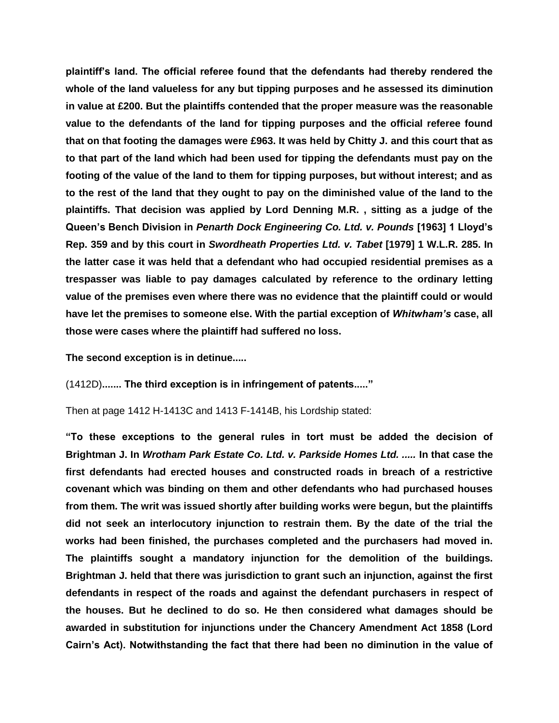**plaintiff's land. The official referee found that the defendants had thereby rendered the whole of the land valueless for any but tipping purposes and he assessed its diminution in value at £200. But the plaintiffs contended that the proper measure was the reasonable value to the defendants of the land for tipping purposes and the official referee found that on that footing the damages were £963. It was held by Chitty J. and this court that as to that part of the land which had been used for tipping the defendants must pay on the footing of the value of the land to them for tipping purposes, but without interest; and as to the rest of the land that they ought to pay on the diminished value of the land to the plaintiffs. That decision was applied by Lord Denning M.R. , sitting as a judge of the Queen's Bench Division in** *Penarth Dock Engineering Co. Ltd. v. Pounds* **[1963] 1 Lloyd's Rep. 359 and by this court in** *Swordheath Properties Ltd. v. Tabet* **[1979] 1 W.L.R. 285. In the latter case it was held that a defendant who had occupied residential premises as a trespasser was liable to pay damages calculated by reference to the ordinary letting value of the premises even where there was no evidence that the plaintiff could or would have let the premises to someone else. With the partial exception of** *Whitwham's* **case, all those were cases where the plaintiff had suffered no loss.**

**The second exception is in detinue.....**

(1412D)**....... The third exception is in infringement of patents....."**

Then at page 1412 H-1413C and 1413 F-1414B, his Lordship stated:

**"To these exceptions to the general rules in tort must be added the decision of Brightman J. In** *Wrotham Park Estate Co. Ltd. v. Parkside Homes Ltd. .....* **In that case the first defendants had erected houses and constructed roads in breach of a restrictive covenant which was binding on them and other defendants who had purchased houses from them. The writ was issued shortly after building works were begun, but the plaintiffs did not seek an interlocutory injunction to restrain them. By the date of the trial the works had been finished, the purchases completed and the purchasers had moved in. The plaintiffs sought a mandatory injunction for the demolition of the buildings. Brightman J. held that there was jurisdiction to grant such an injunction, against the first defendants in respect of the roads and against the defendant purchasers in respect of the houses. But he declined to do so. He then considered what damages should be awarded in substitution for injunctions under the Chancery Amendment Act 1858 (Lord Cairn's Act). Notwithstanding the fact that there had been no diminution in the value of**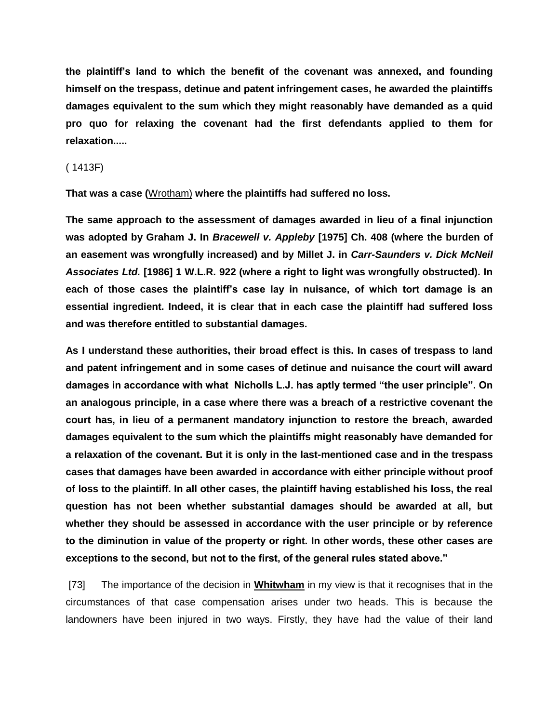**the plaintiff's land to which the benefit of the covenant was annexed, and founding himself on the trespass, detinue and patent infringement cases, he awarded the plaintiffs damages equivalent to the sum which they might reasonably have demanded as a quid pro quo for relaxing the covenant had the first defendants applied to them for relaxation.....**

#### ( 1413F)

**That was a case (**Wrotham) **where the plaintiffs had suffered no loss.**

**The same approach to the assessment of damages awarded in lieu of a final injunction was adopted by Graham J. In** *Bracewell v. Appleby* **[1975] Ch. 408 (where the burden of an easement was wrongfully increased) and by Millet J. in** *Carr-Saunders v. Dick McNeil Associates Ltd.* **[1986] 1 W.L.R. 922 (where a right to light was wrongfully obstructed). In each of those cases the plaintiff's case lay in nuisance, of which tort damage is an essential ingredient. Indeed, it is clear that in each case the plaintiff had suffered loss and was therefore entitled to substantial damages.** 

**As I understand these authorities, their broad effect is this. In cases of trespass to land and patent infringement and in some cases of detinue and nuisance the court will award damages in accordance with what Nicholls L.J. has aptly termed "the user principle". On an analogous principle, in a case where there was a breach of a restrictive covenant the court has, in lieu of a permanent mandatory injunction to restore the breach, awarded damages equivalent to the sum which the plaintiffs might reasonably have demanded for a relaxation of the covenant. But it is only in the last-mentioned case and in the trespass cases that damages have been awarded in accordance with either principle without proof of loss to the plaintiff. In all other cases, the plaintiff having established his loss, the real question has not been whether substantial damages should be awarded at all, but whether they should be assessed in accordance with the user principle or by reference to the diminution in value of the property or right. In other words, these other cases are exceptions to the second, but not to the first, of the general rules stated above."**

[73] The importance of the decision in **Whitwham** in my view is that it recognises that in the circumstances of that case compensation arises under two heads. This is because the landowners have been injured in two ways. Firstly, they have had the value of their land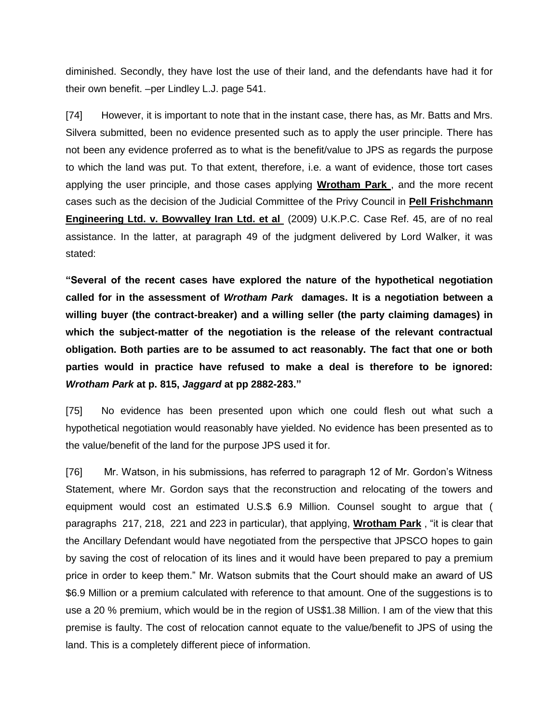diminished. Secondly, they have lost the use of their land, and the defendants have had it for their own benefit. –per Lindley L.J. page 541.

[74] However, it is important to note that in the instant case, there has, as Mr. Batts and Mrs. Silvera submitted, been no evidence presented such as to apply the user principle. There has not been any evidence proferred as to what is the benefit/value to JPS as regards the purpose to which the land was put. To that extent, therefore, i.e. a want of evidence, those tort cases applying the user principle, and those cases applying **Wrotham Park** , and the more recent cases such as the decision of the Judicial Committee of the Privy Council in **Pell Frishchmann Engineering Ltd. v. Bowvalley Iran Ltd. et al** (2009) U.K.P.C. Case Ref. 45, are of no real assistance. In the latter, at paragraph 49 of the judgment delivered by Lord Walker, it was stated:

**"Several of the recent cases have explored the nature of the hypothetical negotiation called for in the assessment of** *Wrotham Park* **damages. It is a negotiation between a willing buyer (the contract-breaker) and a willing seller (the party claiming damages) in which the subject-matter of the negotiation is the release of the relevant contractual obligation. Both parties are to be assumed to act reasonably. The fact that one or both parties would in practice have refused to make a deal is therefore to be ignored:**  *Wrotham Park* **at p. 815,** *Jaggard* **at pp 2882-283."** 

[75] No evidence has been presented upon which one could flesh out what such a hypothetical negotiation would reasonably have yielded. No evidence has been presented as to the value/benefit of the land for the purpose JPS used it for.

[76] Mr. Watson, in his submissions, has referred to paragraph 12 of Mr. Gordon's Witness Statement, where Mr. Gordon says that the reconstruction and relocating of the towers and equipment would cost an estimated U.S.\$ 6.9 Million. Counsel sought to argue that ( paragraphs 217, 218, 221 and 223 in particular), that applying, **Wrotham Park** , "it is clear that the Ancillary Defendant would have negotiated from the perspective that JPSCO hopes to gain by saving the cost of relocation of its lines and it would have been prepared to pay a premium price in order to keep them." Mr. Watson submits that the Court should make an award of US \$6.9 Million or a premium calculated with reference to that amount. One of the suggestions is to use a 20 % premium, which would be in the region of US\$1.38 Million. I am of the view that this premise is faulty. The cost of relocation cannot equate to the value/benefit to JPS of using the land. This is a completely different piece of information.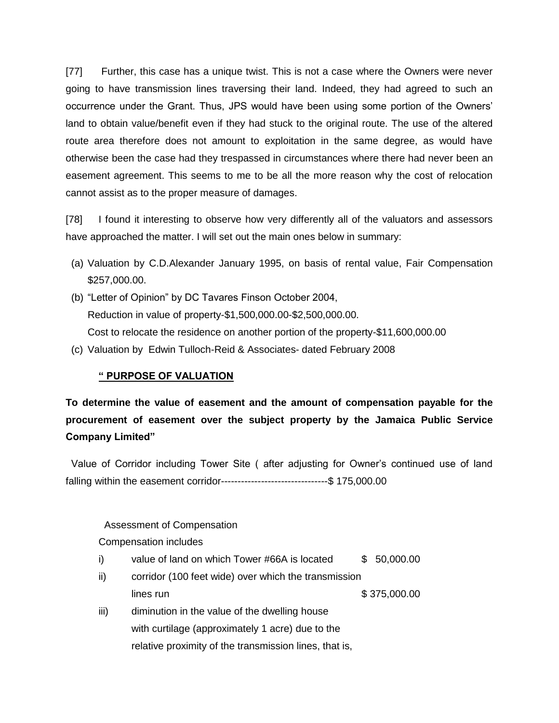[77] Further, this case has a unique twist. This is not a case where the Owners were never going to have transmission lines traversing their land. Indeed, they had agreed to such an occurrence under the Grant. Thus, JPS would have been using some portion of the Owners' land to obtain value/benefit even if they had stuck to the original route. The use of the altered route area therefore does not amount to exploitation in the same degree, as would have otherwise been the case had they trespassed in circumstances where there had never been an easement agreement. This seems to me to be all the more reason why the cost of relocation cannot assist as to the proper measure of damages.

[78] I found it interesting to observe how very differently all of the valuators and assessors have approached the matter. I will set out the main ones below in summary:

- (a) Valuation by C.D.Alexander January 1995, on basis of rental value, Fair Compensation \$257,000.00.
- (b) "Letter of Opinion" by DC Tavares Finson October 2004, Reduction in value of property-\$1,500,000.00-\$2,500,000.00. Cost to relocate the residence on another portion of the property-\$11,600,000.00
- (c) Valuation by Edwin Tulloch-Reid & Associates- dated February 2008

## **" PURPOSE OF VALUATION**

# **To determine the value of easement and the amount of compensation payable for the procurement of easement over the subject property by the Jamaica Public Service Company Limited"**

Value of Corridor including Tower Site ( after adjusting for Owner's continued use of land falling within the easement corridor--------------------------------\$ 175,000.00

### Assessment of Compensation

### Compensation includes

- i) value of land on which Tower #66A is located \$ 50,000.00
- ii) corridor (100 feet wide) over which the transmission lines run \$ 375,000.00 iii) diminution in the value of the dwelling house
- with curtilage (approximately 1 acre) due to the relative proximity of the transmission lines, that is,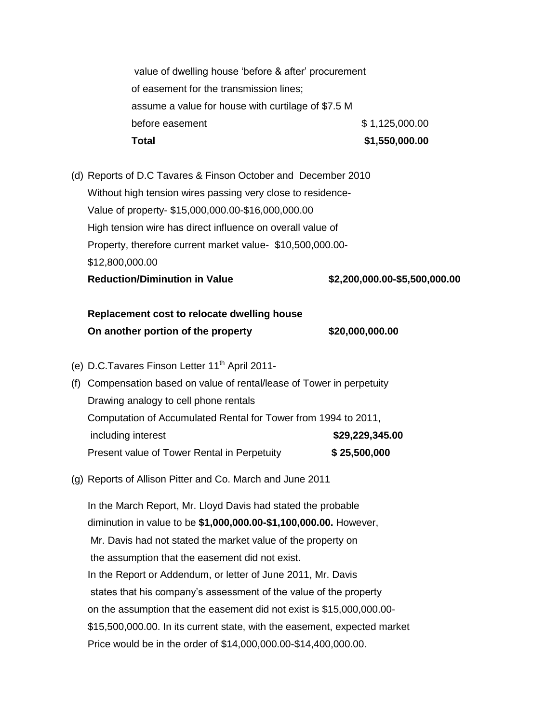value of dwelling house 'before & after' procurement of easement for the transmission lines; assume a value for house with curtilage of \$7.5 M before easement  $$ 1,125,000.00$ **Total \$1,550,000.00**

(d) Reports of D.C Tavares & Finson October and December 2010 Without high tension wires passing very close to residence-Value of property- \$15,000,000.00-\$16,000,000.00 High tension wire has direct influence on overall value of Property, therefore current market value- \$10,500,000.00- \$12,800,000.00 **Reduction/Diminution in Value \$2,200,000.00-\$5,500,000.00**

# **Replacement cost to relocate dwelling house On another portion of the property \$20,000,000.00**

- (e) D.C.Tavares Finson Letter 11<sup>th</sup> April 2011-
- (f) Compensation based on value of rental/lease of Tower in perpetuity Drawing analogy to cell phone rentals Computation of Accumulated Rental for Tower from 1994 to 2011, including interest **\$29,229,345.00** Present value of Tower Rental in Perpetuity **\$ 25,500,000**
- (g) Reports of Allison Pitter and Co. March and June 2011

In the March Report, Mr. Lloyd Davis had stated the probable diminution in value to be **\$1,000,000.00-\$1,100,000.00.** However, Mr. Davis had not stated the market value of the property on the assumption that the easement did not exist. In the Report or Addendum, or letter of June 2011, Mr. Davis states that his company's assessment of the value of the property on the assumption that the easement did not exist is \$15,000,000.00- \$15,500,000.00. In its current state, with the easement, expected market Price would be in the order of \$14,000,000.00-\$14,400,000.00.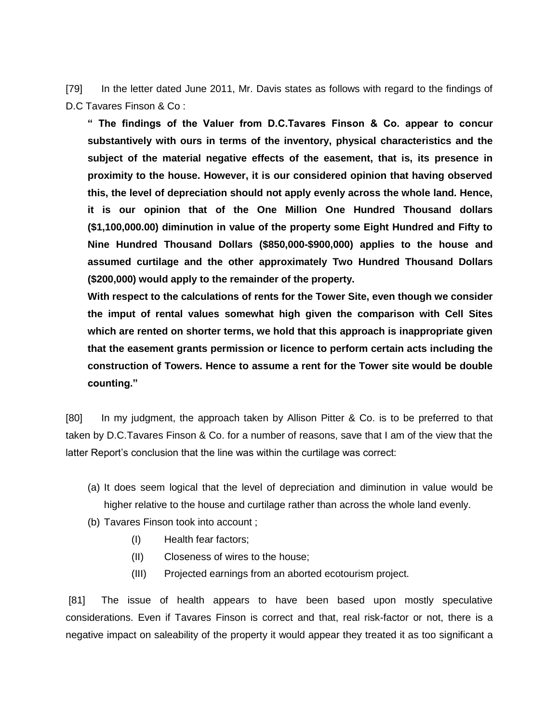[79] In the letter dated June 2011, Mr. Davis states as follows with regard to the findings of D.C Tavares Finson & Co :

**" The findings of the Valuer from D.C.Tavares Finson & Co. appear to concur substantively with ours in terms of the inventory, physical characteristics and the subject of the material negative effects of the easement, that is, its presence in proximity to the house. However, it is our considered opinion that having observed this, the level of depreciation should not apply evenly across the whole land. Hence, it is our opinion that of the One Million One Hundred Thousand dollars (\$1,100,000.00) diminution in value of the property some Eight Hundred and Fifty to Nine Hundred Thousand Dollars (\$850,000-\$900,000) applies to the house and assumed curtilage and the other approximately Two Hundred Thousand Dollars (\$200,000) would apply to the remainder of the property.** 

**With respect to the calculations of rents for the Tower Site, even though we consider the imput of rental values somewhat high given the comparison with Cell Sites which are rented on shorter terms, we hold that this approach is inappropriate given that the easement grants permission or licence to perform certain acts including the construction of Towers. Hence to assume a rent for the Tower site would be double counting."**

[80] In my judgment, the approach taken by Allison Pitter & Co. is to be preferred to that taken by D.C.Tavares Finson & Co. for a number of reasons, save that I am of the view that the latter Report's conclusion that the line was within the curtilage was correct:

- (a) It does seem logical that the level of depreciation and diminution in value would be higher relative to the house and curtilage rather than across the whole land evenly.
- (b) Tavares Finson took into account ;
	- (I) Health fear factors;
	- (II) Closeness of wires to the house;
	- (III) Projected earnings from an aborted ecotourism project.

[81] The issue of health appears to have been based upon mostly speculative considerations. Even if Tavares Finson is correct and that, real risk-factor or not, there is a negative impact on saleability of the property it would appear they treated it as too significant a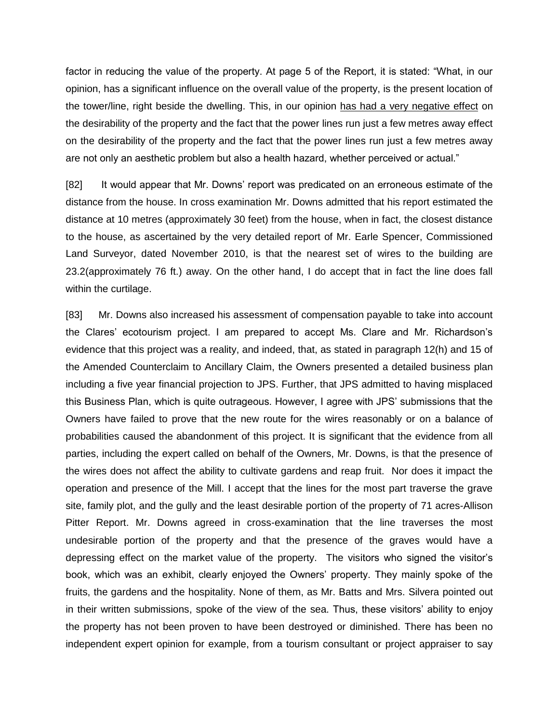factor in reducing the value of the property. At page 5 of the Report, it is stated: "What, in our opinion, has a significant influence on the overall value of the property, is the present location of the tower/line, right beside the dwelling. This, in our opinion has had a very negative effect on the desirability of the property and the fact that the power lines run just a few metres away effect on the desirability of the property and the fact that the power lines run just a few metres away are not only an aesthetic problem but also a health hazard, whether perceived or actual."

[82] It would appear that Mr. Downs' report was predicated on an erroneous estimate of the distance from the house. In cross examination Mr. Downs admitted that his report estimated the distance at 10 metres (approximately 30 feet) from the house, when in fact, the closest distance to the house, as ascertained by the very detailed report of Mr. Earle Spencer, Commissioned Land Surveyor, dated November 2010, is that the nearest set of wires to the building are 23.2(approximately 76 ft.) away. On the other hand, I do accept that in fact the line does fall within the curtilage.

[83] Mr. Downs also increased his assessment of compensation payable to take into account the Clares' ecotourism project. I am prepared to accept Ms. Clare and Mr. Richardson's evidence that this project was a reality, and indeed, that, as stated in paragraph 12(h) and 15 of the Amended Counterclaim to Ancillary Claim, the Owners presented a detailed business plan including a five year financial projection to JPS. Further, that JPS admitted to having misplaced this Business Plan, which is quite outrageous. However, I agree with JPS' submissions that the Owners have failed to prove that the new route for the wires reasonably or on a balance of probabilities caused the abandonment of this project. It is significant that the evidence from all parties, including the expert called on behalf of the Owners, Mr. Downs, is that the presence of the wires does not affect the ability to cultivate gardens and reap fruit. Nor does it impact the operation and presence of the Mill. I accept that the lines for the most part traverse the grave site, family plot, and the gully and the least desirable portion of the property of 71 acres-Allison Pitter Report. Mr. Downs agreed in cross-examination that the line traverses the most undesirable portion of the property and that the presence of the graves would have a depressing effect on the market value of the property. The visitors who signed the visitor's book, which was an exhibit, clearly enjoyed the Owners' property. They mainly spoke of the fruits, the gardens and the hospitality. None of them, as Mr. Batts and Mrs. Silvera pointed out in their written submissions, spoke of the view of the sea. Thus, these visitors' ability to enjoy the property has not been proven to have been destroyed or diminished. There has been no independent expert opinion for example, from a tourism consultant or project appraiser to say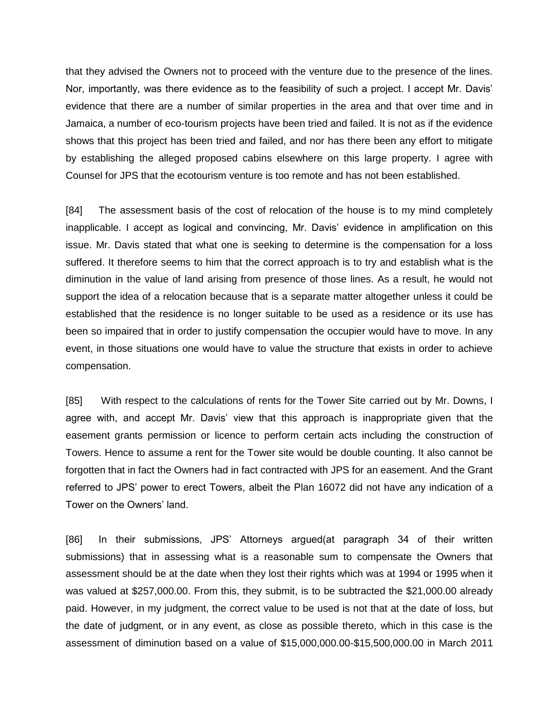that they advised the Owners not to proceed with the venture due to the presence of the lines. Nor, importantly, was there evidence as to the feasibility of such a project. I accept Mr. Davis' evidence that there are a number of similar properties in the area and that over time and in Jamaica, a number of eco-tourism projects have been tried and failed. It is not as if the evidence shows that this project has been tried and failed, and nor has there been any effort to mitigate by establishing the alleged proposed cabins elsewhere on this large property. I agree with Counsel for JPS that the ecotourism venture is too remote and has not been established.

[84] The assessment basis of the cost of relocation of the house is to my mind completely inapplicable. I accept as logical and convincing, Mr. Davis' evidence in amplification on this issue. Mr. Davis stated that what one is seeking to determine is the compensation for a loss suffered. It therefore seems to him that the correct approach is to try and establish what is the diminution in the value of land arising from presence of those lines. As a result, he would not support the idea of a relocation because that is a separate matter altogether unless it could be established that the residence is no longer suitable to be used as a residence or its use has been so impaired that in order to justify compensation the occupier would have to move. In any event, in those situations one would have to value the structure that exists in order to achieve compensation.

[85] With respect to the calculations of rents for the Tower Site carried out by Mr. Downs, I agree with, and accept Mr. Davis' view that this approach is inappropriate given that the easement grants permission or licence to perform certain acts including the construction of Towers. Hence to assume a rent for the Tower site would be double counting. It also cannot be forgotten that in fact the Owners had in fact contracted with JPS for an easement. And the Grant referred to JPS' power to erect Towers, albeit the Plan 16072 did not have any indication of a Tower on the Owners' land.

[86] In their submissions, JPS' Attorneys argued(at paragraph 34 of their written submissions) that in assessing what is a reasonable sum to compensate the Owners that assessment should be at the date when they lost their rights which was at 1994 or 1995 when it was valued at \$257,000.00. From this, they submit, is to be subtracted the \$21,000.00 already paid. However, in my judgment, the correct value to be used is not that at the date of loss, but the date of judgment, or in any event, as close as possible thereto, which in this case is the assessment of diminution based on a value of \$15,000,000.00-\$15,500,000.00 in March 2011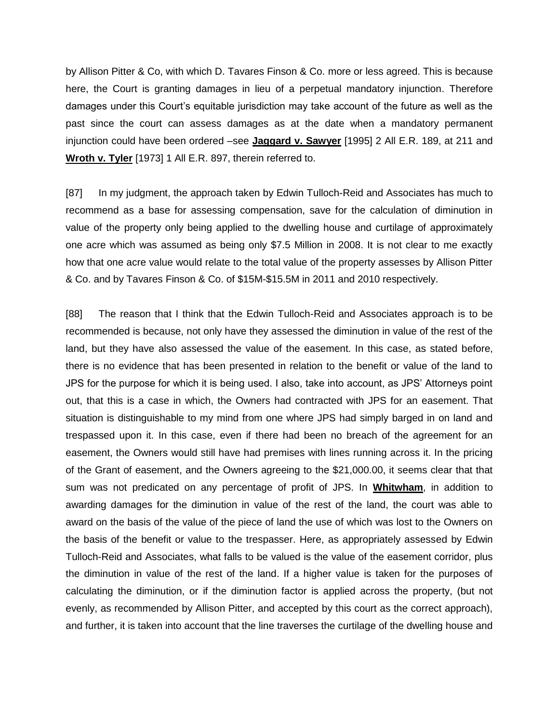by Allison Pitter & Co, with which D. Tavares Finson & Co. more or less agreed. This is because here, the Court is granting damages in lieu of a perpetual mandatory injunction. Therefore damages under this Court's equitable jurisdiction may take account of the future as well as the past since the court can assess damages as at the date when a mandatory permanent injunction could have been ordered –see **Jaggard v. Sawyer** [1995] 2 All E.R. 189, at 211 and **Wroth v. Tyler** [1973] 1 All E.R. 897, therein referred to.

[87] In my judgment, the approach taken by Edwin Tulloch-Reid and Associates has much to recommend as a base for assessing compensation, save for the calculation of diminution in value of the property only being applied to the dwelling house and curtilage of approximately one acre which was assumed as being only \$7.5 Million in 2008. It is not clear to me exactly how that one acre value would relate to the total value of the property assesses by Allison Pitter & Co. and by Tavares Finson & Co. of \$15M-\$15.5M in 2011 and 2010 respectively.

[88] The reason that I think that the Edwin Tulloch-Reid and Associates approach is to be recommended is because, not only have they assessed the diminution in value of the rest of the land, but they have also assessed the value of the easement. In this case, as stated before, there is no evidence that has been presented in relation to the benefit or value of the land to JPS for the purpose for which it is being used. I also, take into account, as JPS' Attorneys point out, that this is a case in which, the Owners had contracted with JPS for an easement. That situation is distinguishable to my mind from one where JPS had simply barged in on land and trespassed upon it. In this case, even if there had been no breach of the agreement for an easement, the Owners would still have had premises with lines running across it. In the pricing of the Grant of easement, and the Owners agreeing to the \$21,000.00, it seems clear that that sum was not predicated on any percentage of profit of JPS. In **Whitwham**, in addition to awarding damages for the diminution in value of the rest of the land, the court was able to award on the basis of the value of the piece of land the use of which was lost to the Owners on the basis of the benefit or value to the trespasser. Here, as appropriately assessed by Edwin Tulloch-Reid and Associates, what falls to be valued is the value of the easement corridor, plus the diminution in value of the rest of the land. If a higher value is taken for the purposes of calculating the diminution, or if the diminution factor is applied across the property, (but not evenly, as recommended by Allison Pitter, and accepted by this court as the correct approach), and further, it is taken into account that the line traverses the curtilage of the dwelling house and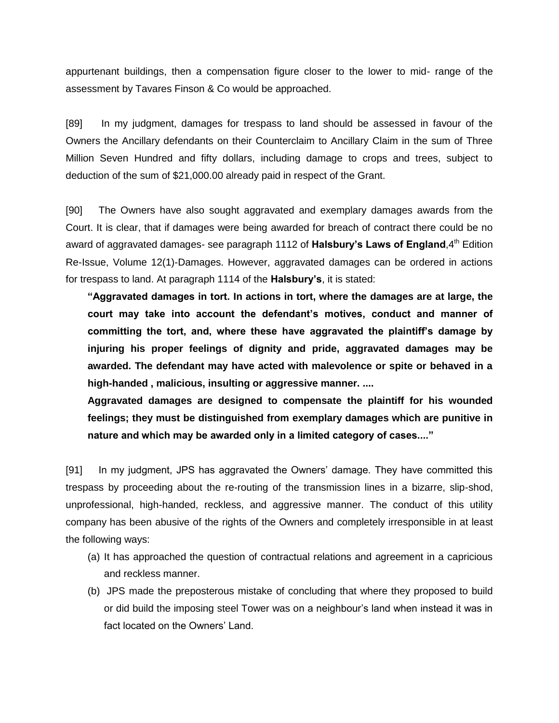appurtenant buildings, then a compensation figure closer to the lower to mid- range of the assessment by Tavares Finson & Co would be approached.

[89] In my judgment, damages for trespass to land should be assessed in favour of the Owners the Ancillary defendants on their Counterclaim to Ancillary Claim in the sum of Three Million Seven Hundred and fifty dollars, including damage to crops and trees, subject to deduction of the sum of \$21,000.00 already paid in respect of the Grant.

[90] The Owners have also sought aggravated and exemplary damages awards from the Court. It is clear, that if damages were being awarded for breach of contract there could be no award of aggravated damages- see paragraph 1112 of **Halsbury's Laws of England**, 4<sup>th</sup> Edition Re-Issue, Volume 12(1)-Damages. However, aggravated damages can be ordered in actions for trespass to land. At paragraph 1114 of the **Halsbury's**, it is stated:

**"Aggravated damages in tort. In actions in tort, where the damages are at large, the court may take into account the defendant's motives, conduct and manner of committing the tort, and, where these have aggravated the plaintiff's damage by injuring his proper feelings of dignity and pride, aggravated damages may be awarded. The defendant may have acted with malevolence or spite or behaved in a high-handed , malicious, insulting or aggressive manner. ....**

**Aggravated damages are designed to compensate the plaintiff for his wounded feelings; they must be distinguished from exemplary damages which are punitive in nature and which may be awarded only in a limited category of cases...."**

[91] In my judgment, JPS has aggravated the Owners' damage. They have committed this trespass by proceeding about the re-routing of the transmission lines in a bizarre, slip-shod, unprofessional, high-handed, reckless, and aggressive manner. The conduct of this utility company has been abusive of the rights of the Owners and completely irresponsible in at least the following ways:

- (a) It has approached the question of contractual relations and agreement in a capricious and reckless manner.
- (b) JPS made the preposterous mistake of concluding that where they proposed to build or did build the imposing steel Tower was on a neighbour's land when instead it was in fact located on the Owners' Land.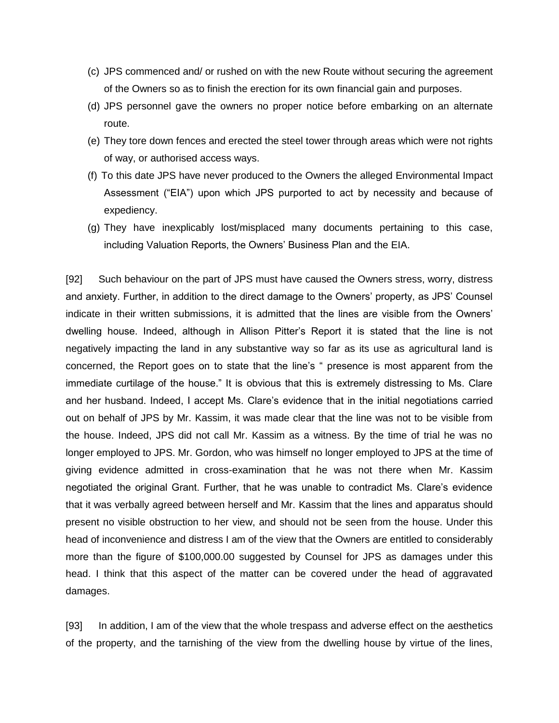- (c) JPS commenced and/ or rushed on with the new Route without securing the agreement of the Owners so as to finish the erection for its own financial gain and purposes.
- (d) JPS personnel gave the owners no proper notice before embarking on an alternate route.
- (e) They tore down fences and erected the steel tower through areas which were not rights of way, or authorised access ways.
- (f) To this date JPS have never produced to the Owners the alleged Environmental Impact Assessment ("EIA") upon which JPS purported to act by necessity and because of expediency.
- (g) They have inexplicably lost/misplaced many documents pertaining to this case, including Valuation Reports, the Owners' Business Plan and the EIA.

[92] Such behaviour on the part of JPS must have caused the Owners stress, worry, distress and anxiety. Further, in addition to the direct damage to the Owners' property, as JPS' Counsel indicate in their written submissions, it is admitted that the lines are visible from the Owners' dwelling house. Indeed, although in Allison Pitter's Report it is stated that the line is not negatively impacting the land in any substantive way so far as its use as agricultural land is concerned, the Report goes on to state that the line's " presence is most apparent from the immediate curtilage of the house." It is obvious that this is extremely distressing to Ms. Clare and her husband. Indeed, I accept Ms. Clare's evidence that in the initial negotiations carried out on behalf of JPS by Mr. Kassim, it was made clear that the line was not to be visible from the house. Indeed, JPS did not call Mr. Kassim as a witness. By the time of trial he was no longer employed to JPS. Mr. Gordon, who was himself no longer employed to JPS at the time of giving evidence admitted in cross-examination that he was not there when Mr. Kassim negotiated the original Grant. Further, that he was unable to contradict Ms. Clare's evidence that it was verbally agreed between herself and Mr. Kassim that the lines and apparatus should present no visible obstruction to her view, and should not be seen from the house. Under this head of inconvenience and distress I am of the view that the Owners are entitled to considerably more than the figure of \$100,000.00 suggested by Counsel for JPS as damages under this head. I think that this aspect of the matter can be covered under the head of aggravated damages.

[93] In addition, I am of the view that the whole trespass and adverse effect on the aesthetics of the property, and the tarnishing of the view from the dwelling house by virtue of the lines,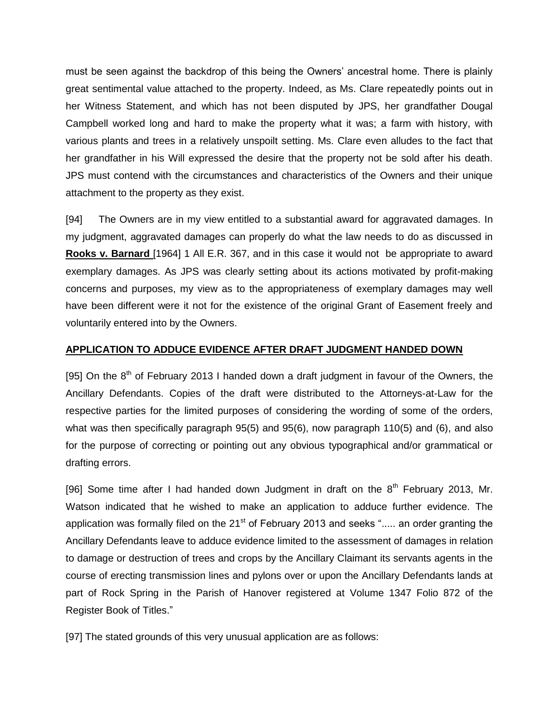must be seen against the backdrop of this being the Owners' ancestral home. There is plainly great sentimental value attached to the property. Indeed, as Ms. Clare repeatedly points out in her Witness Statement, and which has not been disputed by JPS, her grandfather Dougal Campbell worked long and hard to make the property what it was; a farm with history, with various plants and trees in a relatively unspoilt setting. Ms. Clare even alludes to the fact that her grandfather in his Will expressed the desire that the property not be sold after his death. JPS must contend with the circumstances and characteristics of the Owners and their unique attachment to the property as they exist.

[94] The Owners are in my view entitled to a substantial award for aggravated damages. In my judgment, aggravated damages can properly do what the law needs to do as discussed in **Rooks v. Barnard** [1964] 1 All E.R. 367, and in this case it would not be appropriate to award exemplary damages. As JPS was clearly setting about its actions motivated by profit-making concerns and purposes, my view as to the appropriateness of exemplary damages may well have been different were it not for the existence of the original Grant of Easement freely and voluntarily entered into by the Owners.

## **APPLICATION TO ADDUCE EVIDENCE AFTER DRAFT JUDGMENT HANDED DOWN**

[95] On the  $8<sup>th</sup>$  of February 2013 I handed down a draft judgment in favour of the Owners, the Ancillary Defendants. Copies of the draft were distributed to the Attorneys-at-Law for the respective parties for the limited purposes of considering the wording of some of the orders, what was then specifically paragraph 95(5) and 95(6), now paragraph 110(5) and (6), and also for the purpose of correcting or pointing out any obvious typographical and/or grammatical or drafting errors.

[96] Some time after I had handed down Judgment in draft on the  $8<sup>th</sup>$  February 2013, Mr. Watson indicated that he wished to make an application to adduce further evidence. The application was formally filed on the  $21<sup>st</sup>$  of February 2013 and seeks "..... an order granting the Ancillary Defendants leave to adduce evidence limited to the assessment of damages in relation to damage or destruction of trees and crops by the Ancillary Claimant its servants agents in the course of erecting transmission lines and pylons over or upon the Ancillary Defendants lands at part of Rock Spring in the Parish of Hanover registered at Volume 1347 Folio 872 of the Register Book of Titles."

[97] The stated grounds of this very unusual application are as follows: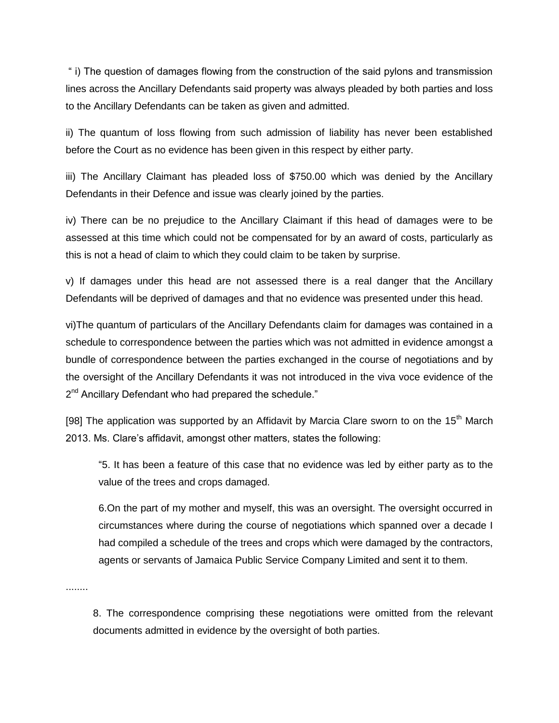" i) The question of damages flowing from the construction of the said pylons and transmission lines across the Ancillary Defendants said property was always pleaded by both parties and loss to the Ancillary Defendants can be taken as given and admitted.

ii) The quantum of loss flowing from such admission of liability has never been established before the Court as no evidence has been given in this respect by either party.

iii) The Ancillary Claimant has pleaded loss of \$750.00 which was denied by the Ancillary Defendants in their Defence and issue was clearly joined by the parties.

iv) There can be no prejudice to the Ancillary Claimant if this head of damages were to be assessed at this time which could not be compensated for by an award of costs, particularly as this is not a head of claim to which they could claim to be taken by surprise.

v) If damages under this head are not assessed there is a real danger that the Ancillary Defendants will be deprived of damages and that no evidence was presented under this head.

vi)The quantum of particulars of the Ancillary Defendants claim for damages was contained in a schedule to correspondence between the parties which was not admitted in evidence amongst a bundle of correspondence between the parties exchanged in the course of negotiations and by the oversight of the Ancillary Defendants it was not introduced in the viva voce evidence of the 2<sup>nd</sup> Ancillary Defendant who had prepared the schedule."

[98] The application was supported by an Affidavit by Marcia Clare sworn to on the 15<sup>th</sup> March 2013. Ms. Clare's affidavit, amongst other matters, states the following:

"5. It has been a feature of this case that no evidence was led by either party as to the value of the trees and crops damaged.

6.On the part of my mother and myself, this was an oversight. The oversight occurred in circumstances where during the course of negotiations which spanned over a decade I had compiled a schedule of the trees and crops which were damaged by the contractors, agents or servants of Jamaica Public Service Company Limited and sent it to them.

........

8. The correspondence comprising these negotiations were omitted from the relevant documents admitted in evidence by the oversight of both parties.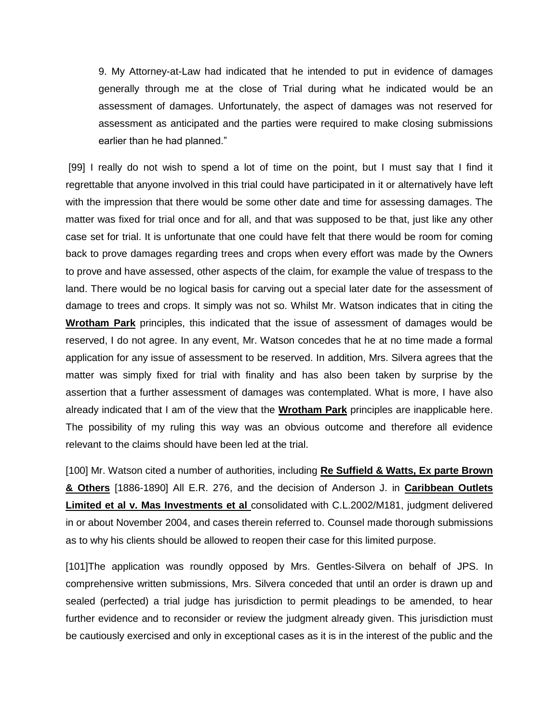9. My Attorney-at-Law had indicated that he intended to put in evidence of damages generally through me at the close of Trial during what he indicated would be an assessment of damages. Unfortunately, the aspect of damages was not reserved for assessment as anticipated and the parties were required to make closing submissions earlier than he had planned."

[99] I really do not wish to spend a lot of time on the point, but I must say that I find it regrettable that anyone involved in this trial could have participated in it or alternatively have left with the impression that there would be some other date and time for assessing damages. The matter was fixed for trial once and for all, and that was supposed to be that, just like any other case set for trial. It is unfortunate that one could have felt that there would be room for coming back to prove damages regarding trees and crops when every effort was made by the Owners to prove and have assessed, other aspects of the claim, for example the value of trespass to the land. There would be no logical basis for carving out a special later date for the assessment of damage to trees and crops. It simply was not so. Whilst Mr. Watson indicates that in citing the **Wrotham Park** principles, this indicated that the issue of assessment of damages would be reserved, I do not agree. In any event, Mr. Watson concedes that he at no time made a formal application for any issue of assessment to be reserved. In addition, Mrs. Silvera agrees that the matter was simply fixed for trial with finality and has also been taken by surprise by the assertion that a further assessment of damages was contemplated. What is more, I have also already indicated that I am of the view that the **Wrotham Park** principles are inapplicable here. The possibility of my ruling this way was an obvious outcome and therefore all evidence relevant to the claims should have been led at the trial.

[100] Mr. Watson cited a number of authorities, including **Re Suffield & Watts, Ex parte Brown & Others** [1886-1890] All E.R. 276, and the decision of Anderson J. in **Caribbean Outlets Limited et al v. Mas Investments et al** consolidated with C.L.2002/M181, judgment delivered in or about November 2004, and cases therein referred to. Counsel made thorough submissions as to why his clients should be allowed to reopen their case for this limited purpose.

[101]The application was roundly opposed by Mrs. Gentles-Silvera on behalf of JPS. In comprehensive written submissions, Mrs. Silvera conceded that until an order is drawn up and sealed (perfected) a trial judge has jurisdiction to permit pleadings to be amended, to hear further evidence and to reconsider or review the judgment already given. This jurisdiction must be cautiously exercised and only in exceptional cases as it is in the interest of the public and the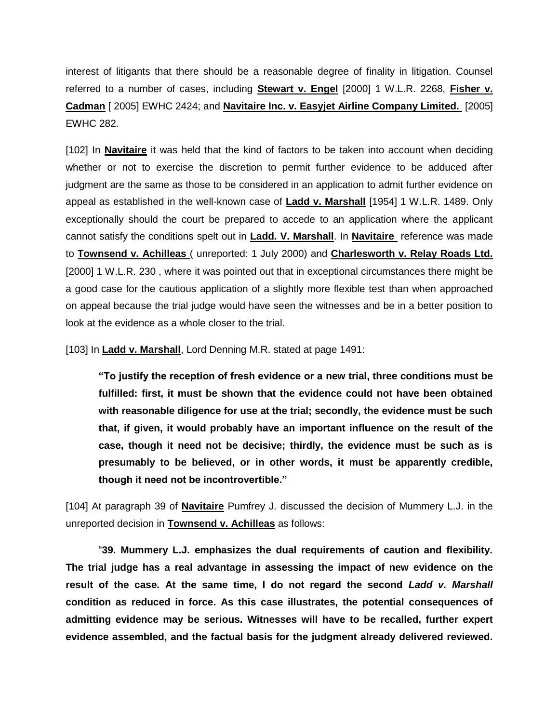interest of litigants that there should be a reasonable degree of finality in litigation. Counsel referred to a number of cases, including **Stewart v. Engel** [2000] 1 W.L.R. 2268, **Fisher v. Cadman** [ 2005] EWHC 2424; and **Navitaire Inc. v. Easyjet Airline Company Limited.** [2005] EWHC 282.

[102] In **Navitaire** it was held that the kind of factors to be taken into account when deciding whether or not to exercise the discretion to permit further evidence to be adduced after judgment are the same as those to be considered in an application to admit further evidence on appeal as established in the well-known case of **Ladd v. Marshall** [1954] 1 W.L.R. 1489. Only exceptionally should the court be prepared to accede to an application where the applicant cannot satisfy the conditions spelt out in **Ladd. V. Marshall**. In **Navitaire** reference was made to **Townsend v. Achilleas** ( unreported: 1 July 2000) and **Charlesworth v. Relay Roads Ltd.** [2000] 1 W.L.R. 230, where it was pointed out that in exceptional circumstances there might be a good case for the cautious application of a slightly more flexible test than when approached on appeal because the trial judge would have seen the witnesses and be in a better position to look at the evidence as a whole closer to the trial.

[103] In **Ladd v. Marshall**, Lord Denning M.R. stated at page 1491:

**"To justify the reception of fresh evidence or a new trial, three conditions must be fulfilled: first, it must be shown that the evidence could not have been obtained with reasonable diligence for use at the trial; secondly, the evidence must be such that, if given, it would probably have an important influence on the result of the case, though it need not be decisive; thirdly, the evidence must be such as is presumably to be believed, or in other words, it must be apparently credible, though it need not be incontrovertible."**

[104] At paragraph 39 of **Navitaire** Pumfrey J. discussed the decision of Mummery L.J. in the unreported decision in **Townsend v. Achilleas** as follows:

"**39. Mummery L.J. emphasizes the dual requirements of caution and flexibility. The trial judge has a real advantage in assessing the impact of new evidence on the result of the case. At the same time, I do not regard the second** *Ladd v. Marshall*  **condition as reduced in force. As this case illustrates, the potential consequences of admitting evidence may be serious. Witnesses will have to be recalled, further expert evidence assembled, and the factual basis for the judgment already delivered reviewed.**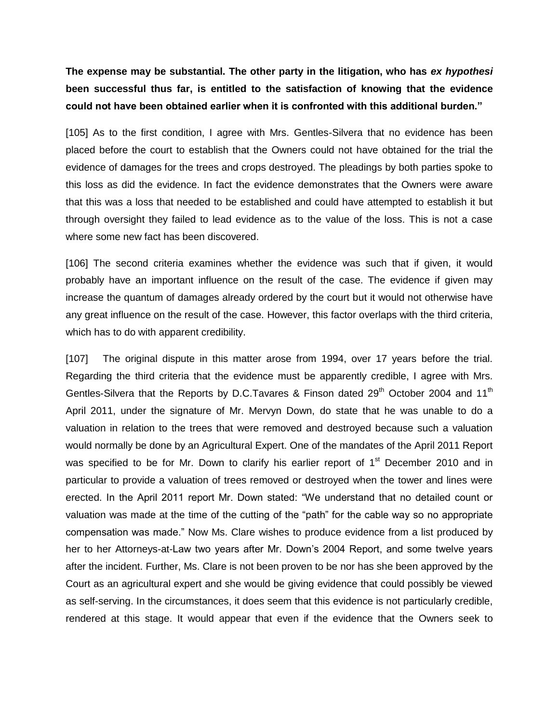**The expense may be substantial. The other party in the litigation, who has** *ex hypothesi* **been successful thus far, is entitled to the satisfaction of knowing that the evidence could not have been obtained earlier when it is confronted with this additional burden."**

[105] As to the first condition, I agree with Mrs. Gentles-Silvera that no evidence has been placed before the court to establish that the Owners could not have obtained for the trial the evidence of damages for the trees and crops destroyed. The pleadings by both parties spoke to this loss as did the evidence. In fact the evidence demonstrates that the Owners were aware that this was a loss that needed to be established and could have attempted to establish it but through oversight they failed to lead evidence as to the value of the loss. This is not a case where some new fact has been discovered.

[106] The second criteria examines whether the evidence was such that if given, it would probably have an important influence on the result of the case. The evidence if given may increase the quantum of damages already ordered by the court but it would not otherwise have any great influence on the result of the case. However, this factor overlaps with the third criteria, which has to do with apparent credibility.

[107] The original dispute in this matter arose from 1994, over 17 years before the trial. Regarding the third criteria that the evidence must be apparently credible, I agree with Mrs. Gentles-Silvera that the Reports by D.C.Tavares & Finson dated 29<sup>th</sup> October 2004 and 11<sup>th</sup> April 2011, under the signature of Mr. Mervyn Down, do state that he was unable to do a valuation in relation to the trees that were removed and destroyed because such a valuation would normally be done by an Agricultural Expert. One of the mandates of the April 2011 Report was specified to be for Mr. Down to clarify his earlier report of  $1<sup>st</sup>$  December 2010 and in particular to provide a valuation of trees removed or destroyed when the tower and lines were erected. In the April 2011 report Mr. Down stated: "We understand that no detailed count or valuation was made at the time of the cutting of the "path" for the cable way so no appropriate compensation was made." Now Ms. Clare wishes to produce evidence from a list produced by her to her Attorneys-at-Law two years after Mr. Down's 2004 Report, and some twelve years after the incident. Further, Ms. Clare is not been proven to be nor has she been approved by the Court as an agricultural expert and she would be giving evidence that could possibly be viewed as self-serving. In the circumstances, it does seem that this evidence is not particularly credible, rendered at this stage. It would appear that even if the evidence that the Owners seek to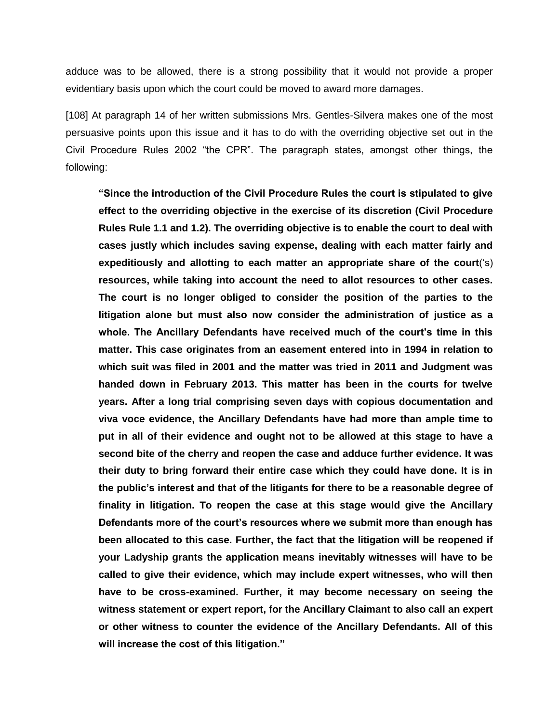adduce was to be allowed, there is a strong possibility that it would not provide a proper evidentiary basis upon which the court could be moved to award more damages.

[108] At paragraph 14 of her written submissions Mrs. Gentles-Silvera makes one of the most persuasive points upon this issue and it has to do with the overriding objective set out in the Civil Procedure Rules 2002 "the CPR". The paragraph states, amongst other things, the following:

**"Since the introduction of the Civil Procedure Rules the court is stipulated to give effect to the overriding objective in the exercise of its discretion (Civil Procedure Rules Rule 1.1 and 1.2). The overriding objective is to enable the court to deal with cases justly which includes saving expense, dealing with each matter fairly and expeditiously and allotting to each matter an appropriate share of the court**('s) **resources, while taking into account the need to allot resources to other cases. The court is no longer obliged to consider the position of the parties to the litigation alone but must also now consider the administration of justice as a whole. The Ancillary Defendants have received much of the court's time in this matter. This case originates from an easement entered into in 1994 in relation to which suit was filed in 2001 and the matter was tried in 2011 and Judgment was handed down in February 2013. This matter has been in the courts for twelve years. After a long trial comprising seven days with copious documentation and viva voce evidence, the Ancillary Defendants have had more than ample time to put in all of their evidence and ought not to be allowed at this stage to have a second bite of the cherry and reopen the case and adduce further evidence. It was their duty to bring forward their entire case which they could have done. It is in the public's interest and that of the litigants for there to be a reasonable degree of finality in litigation. To reopen the case at this stage would give the Ancillary Defendants more of the court's resources where we submit more than enough has been allocated to this case. Further, the fact that the litigation will be reopened if your Ladyship grants the application means inevitably witnesses will have to be called to give their evidence, which may include expert witnesses, who will then have to be cross-examined. Further, it may become necessary on seeing the witness statement or expert report, for the Ancillary Claimant to also call an expert or other witness to counter the evidence of the Ancillary Defendants. All of this will increase the cost of this litigation."**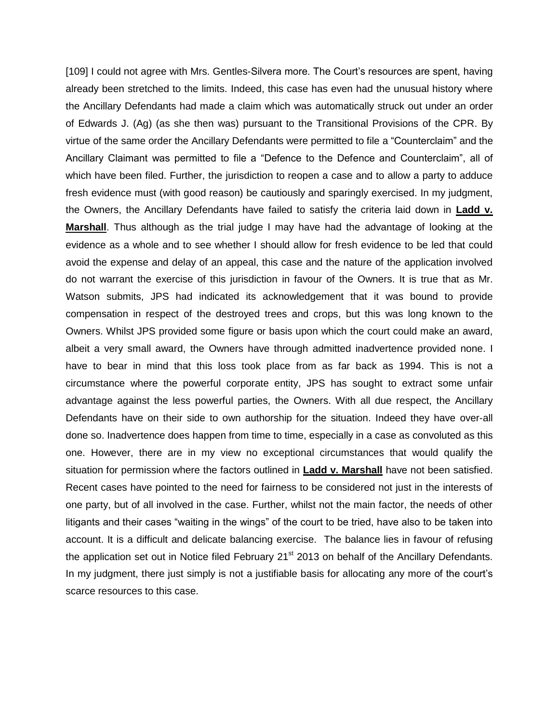[109] I could not agree with Mrs. Gentles-Silvera more. The Court's resources are spent, having already been stretched to the limits. Indeed, this case has even had the unusual history where the Ancillary Defendants had made a claim which was automatically struck out under an order of Edwards J. (Ag) (as she then was) pursuant to the Transitional Provisions of the CPR. By virtue of the same order the Ancillary Defendants were permitted to file a "Counterclaim" and the Ancillary Claimant was permitted to file a "Defence to the Defence and Counterclaim", all of which have been filed. Further, the jurisdiction to reopen a case and to allow a party to adduce fresh evidence must (with good reason) be cautiously and sparingly exercised. In my judgment, the Owners, the Ancillary Defendants have failed to satisfy the criteria laid down in **Ladd v. Marshall**. Thus although as the trial judge I may have had the advantage of looking at the evidence as a whole and to see whether I should allow for fresh evidence to be led that could avoid the expense and delay of an appeal, this case and the nature of the application involved do not warrant the exercise of this jurisdiction in favour of the Owners. It is true that as Mr. Watson submits, JPS had indicated its acknowledgement that it was bound to provide compensation in respect of the destroyed trees and crops, but this was long known to the Owners. Whilst JPS provided some figure or basis upon which the court could make an award, albeit a very small award, the Owners have through admitted inadvertence provided none. I have to bear in mind that this loss took place from as far back as 1994. This is not a circumstance where the powerful corporate entity, JPS has sought to extract some unfair advantage against the less powerful parties, the Owners. With all due respect, the Ancillary Defendants have on their side to own authorship for the situation. Indeed they have over-all done so. Inadvertence does happen from time to time, especially in a case as convoluted as this one. However, there are in my view no exceptional circumstances that would qualify the situation for permission where the factors outlined in **Ladd v. Marshall** have not been satisfied. Recent cases have pointed to the need for fairness to be considered not just in the interests of one party, but of all involved in the case. Further, whilst not the main factor, the needs of other litigants and their cases "waiting in the wings" of the court to be tried, have also to be taken into account. It is a difficult and delicate balancing exercise. The balance lies in favour of refusing the application set out in Notice filed February  $21<sup>st</sup>$  2013 on behalf of the Ancillary Defendants. In my judgment, there just simply is not a justifiable basis for allocating any more of the court's scarce resources to this case.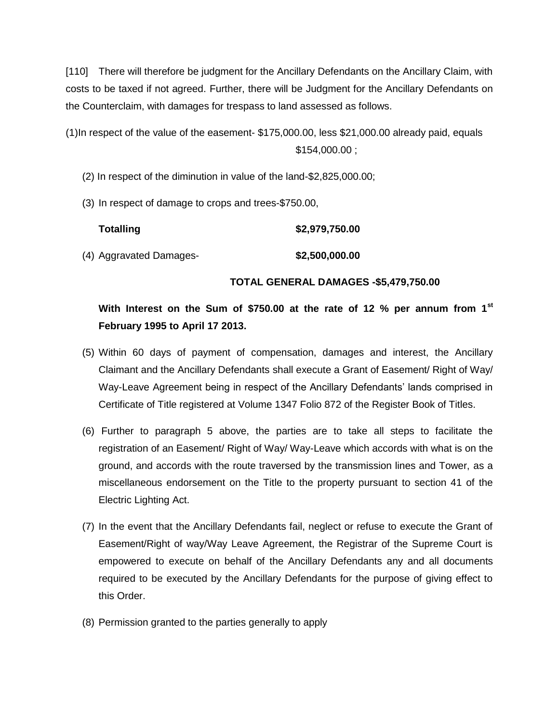[110] There will therefore be judgment for the Ancillary Defendants on the Ancillary Claim, with costs to be taxed if not agreed. Further, there will be Judgment for the Ancillary Defendants on the Counterclaim, with damages for trespass to land assessed as follows.

(1)In respect of the value of the easement- \$175,000.00, less \$21,000.00 already paid, equals \$154,000.00 ;

(2) In respect of the diminution in value of the land-\$2,825,000.00;

(3) In respect of damage to crops and trees-\$750.00,

| <b>Totalling</b>        | \$2,979,750.00 |
|-------------------------|----------------|
| (4) Aggravated Damages- | \$2,500,000.00 |

#### **TOTAL GENERAL DAMAGES -\$5,479,750.00**

# **With Interest on the Sum of \$750.00 at the rate of 12 % per annum from 1st February 1995 to April 17 2013.**

- (5) Within 60 days of payment of compensation, damages and interest, the Ancillary Claimant and the Ancillary Defendants shall execute a Grant of Easement/ Right of Way/ Way-Leave Agreement being in respect of the Ancillary Defendants' lands comprised in Certificate of Title registered at Volume 1347 Folio 872 of the Register Book of Titles.
- (6) Further to paragraph 5 above, the parties are to take all steps to facilitate the registration of an Easement/ Right of Way/ Way-Leave which accords with what is on the ground, and accords with the route traversed by the transmission lines and Tower, as a miscellaneous endorsement on the Title to the property pursuant to section 41 of the Electric Lighting Act.
- (7) In the event that the Ancillary Defendants fail, neglect or refuse to execute the Grant of Easement/Right of way/Way Leave Agreement, the Registrar of the Supreme Court is empowered to execute on behalf of the Ancillary Defendants any and all documents required to be executed by the Ancillary Defendants for the purpose of giving effect to this Order.
- (8) Permission granted to the parties generally to apply